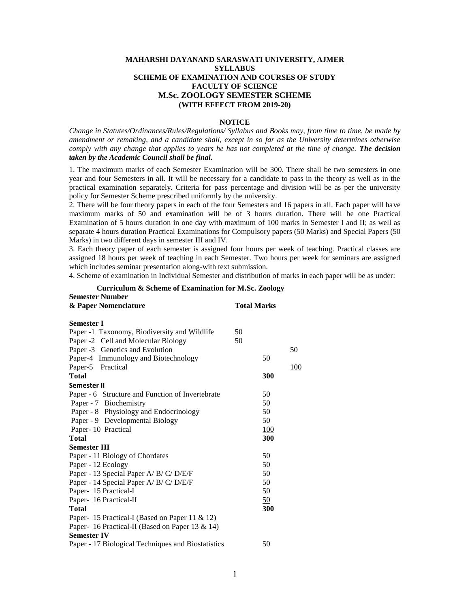#### **MAHARSHI DAYANAND SARASWATI UNIVERSITY, AJMER SYLLABUS SCHEME OF EXAMINATION AND COURSES OF STUDY FACULTY OF SCIENCE M.Sc. ZOOLOGY SEMESTER SCHEME (WITH EFFECT FROM 2019-20)**

#### **NOTICE**

*Change in Statutes/Ordinances/Rules/Regulations/ Syllabus and Books may, from time to time, be made by amendment or remaking, and a candidate shall, except in so far as the University determines otherwise comply with any change that applies to years he has not completed at the time of change. The decision taken by the Academic Council shall be final.*

1. The maximum marks of each Semester Examination will be 300. There shall be two semesters in one year and four Semesters in all. It will be necessary for a candidate to pass in the theory as well as in the practical examination separately. Criteria for pass percentage and division will be as per the university policy for Semester Scheme prescribed uniformly by the university.

2. There will be four theory papers in each of the four Semesters and 16 papers in all. Each paper will have maximum marks of 50 and examination will be of 3 hours duration. There will be one Practical Examination of 5 hours duration in one day with maximum of 100 marks in Semester I and II; as well as separate 4 hours duration Practical Examinations for Compulsory papers (50 Marks) and Special Papers (50 Marks) in two different days in semester III and IV.

3. Each theory paper of each semester is assigned four hours per week of teaching. Practical classes are assigned 18 hours per week of teaching in each Semester. Two hours per week for seminars are assigned which includes seminar presentation along-with text submission.

4. Scheme of examination in Individual Semester and distribution of marks in each paper will be as under:

| <b>Semester Number</b>                             |                    |     |
|----------------------------------------------------|--------------------|-----|
| & Paper Nomenclature                               | <b>Total Marks</b> |     |
| <b>Semester I</b>                                  |                    |     |
| Paper -1 Taxonomy, Biodiversity and Wildlife       | 50                 |     |
| Paper -2 Cell and Molecular Biology                | 50                 |     |
| Paper -3 Genetics and Evolution                    |                    | 50  |
| Paper-4 Immunology and Biotechnology               |                    | 50  |
| Paper-5 Practical                                  |                    | 100 |
| <b>Total</b>                                       |                    | 300 |
| Semester II                                        |                    |     |
| Paper - 6 Structure and Function of Invertebrate   |                    | 50  |
| Paper - 7 Biochemistry                             |                    | 50  |
| Paper - 8 Physiology and Endocrinology             |                    | 50  |
| Paper - 9 Developmental Biology                    |                    | 50  |
| Paper-10 Practical                                 |                    | 100 |
| <b>Total</b>                                       |                    | 300 |
| <b>Semester III</b>                                |                    |     |
| Paper - 11 Biology of Chordates                    |                    | 50  |
| Paper - 12 Ecology                                 |                    | 50  |
| Paper - 13 Special Paper A/ B/ C/ D/E/F            |                    | 50  |
| Paper - 14 Special Paper A/ B/ C/ D/E/F            |                    | 50  |
| Paper- 15 Practical-I                              |                    | 50  |
| Paper- 16 Practical-II                             |                    | 50  |
| Total                                              |                    | 300 |
| Paper- 15 Practical-I (Based on Paper 11 & 12)     |                    |     |
| Paper- 16 Practical-II (Based on Paper 13 & 14)    |                    |     |
| <b>Semester IV</b>                                 |                    |     |
| Paper - 17 Biological Techniques and Biostatistics |                    | 50  |

**Curriculum & Scheme of Examination for M.Sc. Zoology**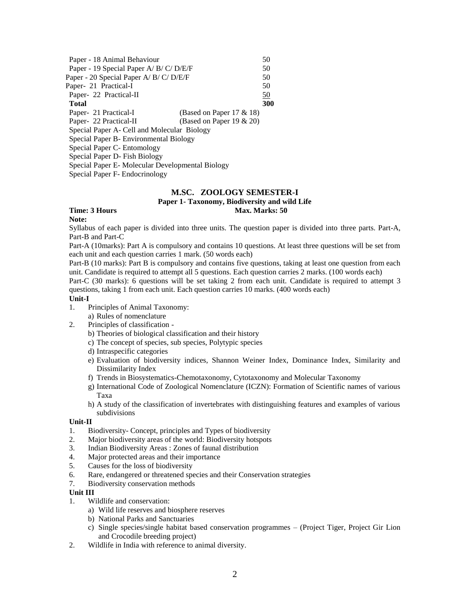| Paper - 18 Animal Behaviour                           | 50  |
|-------------------------------------------------------|-----|
| Paper - 19 Special Paper A/ B/ C/ D/E/F               | 50  |
| Paper - 20 Special Paper A/ B/ C/ D/E/F               | 50  |
| Paper- 21 Practical-I                                 | 50  |
| Paper- 22 Practical-II                                | 50  |
| Total                                                 | 300 |
| (Based on Paper $17 & 18$ )<br>Paper- 21 Practical-I  |     |
| Paper- 22 Practical-II<br>(Based on Paper 19 $& 20$ ) |     |
| Special Paper A- Cell and Molecular Biology           |     |
| Special Paper B - Environmental Biology               |     |
| Special Paper C- Entomology                           |     |
| Special Paper D- Fish Biology                         |     |
| Special Paper E-Molecular Developmental Biology       |     |
|                                                       |     |

Special Paper F- Endocrinology

# **M.SC. ZOOLOGY SEMESTER-I**

**Paper 1- Taxonomy, Biodiversity and wild Life**

# **Time: 3 Hours Max. Marks: 50 Max. Marks: 50 Max. Marks: 50 Max. Marks: 50 Max. Marks: 50 Max. Marks: 50 Max. Marks: 50 Max. Marks: 50 Max. Marks: 50 Max. Marks: 50**  $\mu$

#### **Note:**

Syllabus of each paper is divided into three units. The question paper is divided into three parts. Part-A, Part-B and Part-C

Part-A (10marks): Part A is compulsory and contains 10 questions. At least three questions will be set from each unit and each question carries 1 mark. (50 words each)

Part-B (10 marks): Part B is compulsory and contains five questions, taking at least one question from each unit. Candidate is required to attempt all 5 questions. Each question carries 2 marks. (100 words each)

Part-C (30 marks): 6 questions will be set taking 2 from each unit. Candidate is required to attempt 3 questions, taking 1 from each unit. Each question carries 10 marks. (400 words each)

#### **Unit-I**

- 1. Principles of Animal Taxonomy:
	- a) Rules of nomenclature
- 2. Principles of classification
	- b) Theories of biological classification and their history
	- c) The concept of species, sub species, Polytypic species
	- d) Intraspecific categories
	- e) Evaluation of biodiversity indices, Shannon Weiner Index, Dominance Index, Similarity and Dissimilarity Index
	- f) Trends in Biosystematics-Chemotaxonomy, Cytotaxonomy and Molecular Taxonomy
	- g) International Code of Zoological Nomenclature (ICZN): Formation of Scientific names of various Taxa
	- h) A study of the classification of invertebrates with distinguishing features and examples of various subdivisions

#### **Unit-II**

- 1. Biodiversity- Concept, principles and Types of biodiversity
- 2. Major biodiversity areas of the world: Biodiversity hotspots
- 3. Indian Biodiversity Areas : Zones of faunal distribution
- 4. Major protected areas and their importance
- 5. Causes for the loss of biodiversity
- 6. Rare, endangered or threatened species and their Conservation strategies
- 7. Biodiversity conservation methods

#### **Unit III**

- 1. Wildlife and conservation:
	- a) Wild life reserves and biosphere reserves
	- b) National Parks and Sanctuaries
	- c) Single species/single habitat based conservation programmes (Project Tiger, Project Gir Lion and Crocodile breeding project)
- 2. Wildlife in India with reference to animal diversity.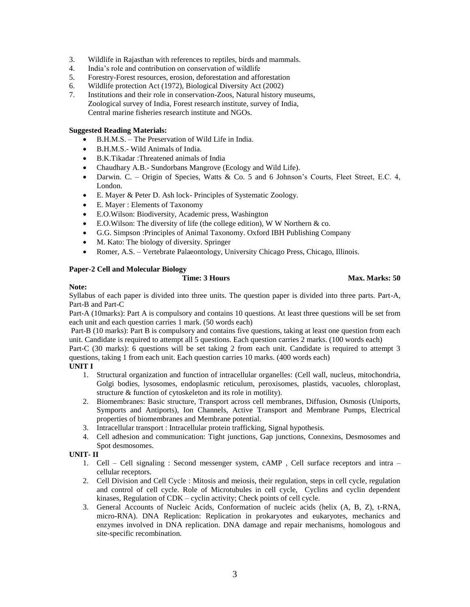- 3. Wildlife in Rajasthan with references to reptiles, birds and mammals.
- 4. India's role and contribution on conservation of wildlife
- 5. Forestry-Forest resources, erosion, deforestation and afforestation
- 6. Wildlife protection Act (1972), Biological Diversity Act (2002)
- 7. Institutions and their role in conservation-Zoos, Natural history museums, Zoological survey of India, Forest research institute, survey of India, Central marine fisheries research institute and NGOs.

#### **Suggested Reading Materials:**

- B.H.M.S. The Preservation of Wild Life in India.
- B.H.M.S.- Wild Animals of India.
- B.K.Tikadar :Threatened animals of India
- Chaudhary A.B.- Sundorbans Mangrove (Ecology and Wild Life).
- Darwin. C. Origin of Species, Watts & Co. 5 and 6 Johnson's Courts, Fleet Street, E.C. 4, London.
- E. Mayer & Peter D. Ash lock- Principles of Systematic Zoology.
- E. Mayer : Elements of Taxonomy
- E.O.Wilson: Biodiversity, Academic press, Washington
- E.O.Wilson: The diversity of life (the college edition), W W Northern & co.
- G.G. Simpson :Principles of Animal Taxonomy. Oxford IBH Publishing Company
- M. Kato: The biology of diversity. Springer
- Romer, A.S. Vertebrate Palaeontology, University Chicago Press, Chicago, Illinois.

#### **Paper-2 Cell and Molecular Biology**

**Time: 3 Hours Max. Marks: 50** 

#### **Note:**

Syllabus of each paper is divided into three units. The question paper is divided into three parts. Part-A, Part-B and Part-C

Part-A (10marks): Part A is compulsory and contains 10 questions. At least three questions will be set from each unit and each question carries 1 mark. (50 words each)

Part-B (10 marks): Part B is compulsory and contains five questions, taking at least one question from each unit. Candidate is required to attempt all 5 questions. Each question carries 2 marks. (100 words each)

Part-C (30 marks): 6 questions will be set taking 2 from each unit. Candidate is required to attempt 3 questions, taking 1 from each unit. Each question carries 10 marks. (400 words each)

#### **UNIT I**

- 1. Structural organization and function of intracellular organelles: (Cell wall, nucleus, mitochondria, Golgi bodies, lysosomes, endoplasmic reticulum, peroxisomes, plastids, vacuoles, chloroplast, structure & function of cytoskeleton and its role in motility).
- 2. Biomembranes: Basic structure, Transport across cell membranes, Diffusion, Osmosis (Uniports, Symports and Antiports), Ion Channels, Active Transport and Membrane Pumps, Electrical properties of biomembranes and Membrane potential.
- 3. Intracellular transport : Intracellular protein trafficking, Signal hypothesis.
- 4. Cell adhesion and communication: Tight junctions, Gap junctions, Connexins, Desmosomes and Spot desmosomes.

#### **UNIT- II**

- 1. Cell Cell signaling : Second messenger system, cAMP , Cell surface receptors and intra cellular receptors.
- 2. Cell Division and Cell Cycle : Mitosis and meiosis, their regulation, steps in cell cycle, regulation and control of cell cycle. Role of Microtubules in cell cycle, Cyclins and cyclin dependent kinases, Regulation of CDK – cyclin activity; Check points of cell cycle.
- 3. General Accounts of Nucleic Acids, Conformation of nucleic acids (helix (A, B, Z), t-RNA, micro-RNA). DNA Replication: Replication in prokaryotes and eukaryotes, mechanics and enzymes involved in DNA replication. DNA damage and repair mechanisms, homologous and site-specific recombination.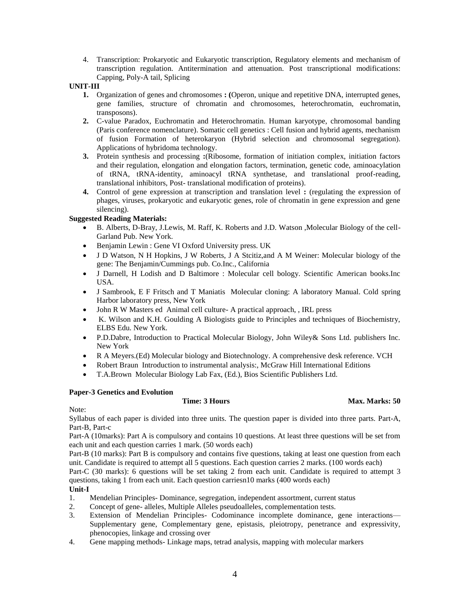4. Transcription: Prokaryotic and Eukaryotic transcription, Regulatory elements and mechanism of transcription regulation. Antitermination and attenuation. Post transcriptional modifications: Capping, Poly-A tail, Splicing

## **UNIT-III**

- **1.** Organization of genes and chromosomes **: (**Operon, unique and repetitive DNA, interrupted genes, gene families, structure of chromatin and chromosomes, heterochromatin, euchromatin, transposons).
- **2.** C-value Paradox, Euchromatin and Heterochromatin. Human karyotype, chromosomal banding (Paris conference nomenclature). Somatic cell genetics : Cell fusion and hybrid agents, mechanism of fusion Formation of heterokaryon (Hybrid selection and chromosomal segregation). Applications of hybridoma technology.
- **3.** Protein synthesis and processing **:**(Ribosome, formation of initiation complex, initiation factors and their regulation, elongation and elongation factors, termination, genetic code, aminoacylation of tRNA, tRNA-identity, aminoacyl tRNA synthetase, and translational proof-reading, translational inhibitors, Post- translational modification of proteins).
- **4.** Control of gene expression at transcription and translation level **:** (regulating the expression of phages, viruses, prokaryotic and eukaryotic genes, role of chromatin in gene expression and gene silencing).

# **Suggested Reading Materials:**

- B. Alberts, D-Bray, J.Lewis, M. Raff, K. Roberts and J.D. Watson ,Molecular Biology of the cell-Garland Pub. New York.
- Benjamin Lewin : Gene VI Oxford University press. UK
- J D Watson, N H Hopkins, J W Roberts, J A Stcitiz,and A M Weiner: Molecular biology of the gene: The Benjamin/Cummings pub. Co.Inc., California
- J Darnell, H Lodish and D Baltimore : Molecular cell bology. Scientific American books.Inc USA.
- J Sambrook, E F Fritsch and T Maniatis Molecular cloning: A laboratory Manual. Cold spring Harbor laboratory press, New York
- John R W Masters ed Animal cell culture- A practical approach, , IRL press
- K. Wilson and K.H. Goulding A Biologists guide to Principles and techniques of Biochemistry, ELBS Edu. New York.
- P.D.Dabre, Introduction to Practical Molecular Biology, John Wiley& Sons Ltd. publishers Inc. New York
- R A Meyers.(Ed) Molecular biology and Biotechnology. A comprehensive desk reference. VCH
- Robert Braun Introduction to instrumental analysis:, McGraw Hill International Editions
- T.A.Brown Molecular Biology Lab Fax, (Ed.), Bios Scientific Publishers Ltd.

#### **Paper-3 Genetics and Evolution**

**Time: 3 Hours Max. Marks: 50** 

#### Note:

Syllabus of each paper is divided into three units. The question paper is divided into three parts. Part-A, Part-B, Part-c

Part-A (10marks): Part A is compulsory and contains 10 questions. At least three questions will be set from each unit and each question carries 1 mark. (50 words each)

Part-B (10 marks): Part B is compulsory and contains five questions, taking at least one question from each unit. Candidate is required to attempt all 5 questions. Each question carries 2 marks. (100 words each)

Part-C (30 marks): 6 questions will be set taking 2 from each unit. Candidate is required to attempt 3 questions, taking 1 from each unit. Each question carriesn10 marks (400 words each)

#### **Unit-I**

- 1. Mendelian Principles- Dominance, segregation, independent assortment, current status
- 2. Concept of gene- alleles, Multiple Alleles pseudoalleles, complementation tests.
- 3. Extension of Mendelian Principles- Codominance incomplete dominance, gene interactions— Supplementary gene, Complementary gene, epistasis, pleiotropy, penetrance and expressivity, phenocopies, linkage and crossing over
- 4. Gene mapping methods- Linkage maps, tetrad analysis, mapping with molecular markers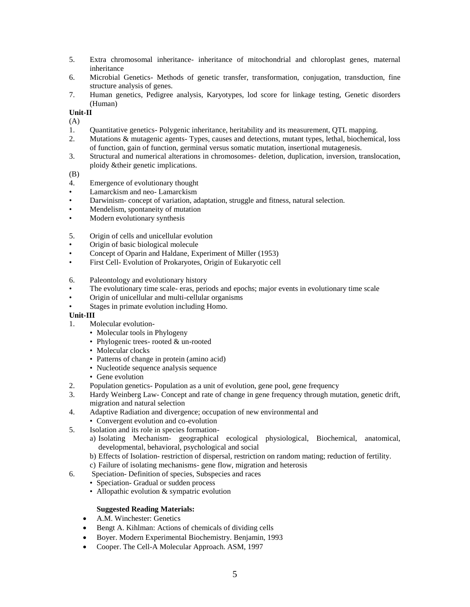- 5. Extra chromosomal inheritance- inheritance of mitochondrial and chloroplast genes, maternal inheritance
- 6. Microbial Genetics- Methods of genetic transfer, transformation, conjugation, transduction, fine structure analysis of genes.
- 7. Human genetics, Pedigree analysis, Karyotypes, lod score for linkage testing, Genetic disorders (Human)

**Unit-II**

- (A)
- 1. Quantitative genetics- Polygenic inheritance, heritability and its measurement, QTL mapping.
- 2. Mutations & mutagenic agents- Types, causes and detections, mutant types, lethal, biochemical, loss of function, gain of function, germinal versus somatic mutation, insertional mutagenesis.
- 3. Structural and numerical alterations in chromosomes- deletion, duplication, inversion, translocation, ploidy &their genetic implications.

#### (B)

- 4. Emergence of evolutionary thought
- Lamarckism and neo- Lamarckism
- Darwinism- concept of variation, adaptation, struggle and fitness, natural selection.
- Mendelism, spontaneity of mutation
- Modern evolutionary synthesis
- 5. Origin of cells and unicellular evolution
- Origin of basic biological molecule
- Concept of Oparin and Haldane, Experiment of Miller (1953)
- First Cell- Evolution of Prokaryotes, Origin of Eukaryotic cell
- 6. Paleontology and evolutionary history
- The evolutionary time scale- eras, periods and epochs; major events in evolutionary time scale
- Origin of unicellular and multi-cellular organisms
- Stages in primate evolution including Homo.

#### **Unit-III**

- 1. Molecular evolution-
	- Molecular tools in Phylogeny
	- Phylogenic trees- rooted & un-rooted
	- Molecular clocks
	- Patterns of change in protein (amino acid)
	- Nucleotide sequence analysis sequence
	- Gene evolution
- 2. Population genetics- Population as a unit of evolution, gene pool, gene frequency
- 3. Hardy Weinberg Law- Concept and rate of change in gene frequency through mutation, genetic drift, migration and natural selection
- 4. Adaptive Radiation and divergence; occupation of new environmental and
	- Convergent evolution and co-evolution
- 5. Isolation and its role in species formation
	- a) Isolating Mechanism- geographical ecological physiological, Biochemical, anatomical, developmental, behavioral, psychological and social
	- b) Effects of Isolation- restriction of dispersal, restriction on random mating; reduction of fertility.
	- c) Failure of isolating mechanisms- gene flow, migration and heterosis
- 6. Speciation- Definition of species, Subspecies and races
	- Speciation- Gradual or sudden process
	- Allopathic evolution & sympatric evolution

#### **Suggested Reading Materials:**

- A.M. Winchester: Genetics
- Bengt A. Kihlman: Actions of chemicals of dividing cells
- Boyer. Modern Experimental Biochemistry. Benjamin, 1993
- Cooper. The Cell-A Molecular Approach. ASM, 1997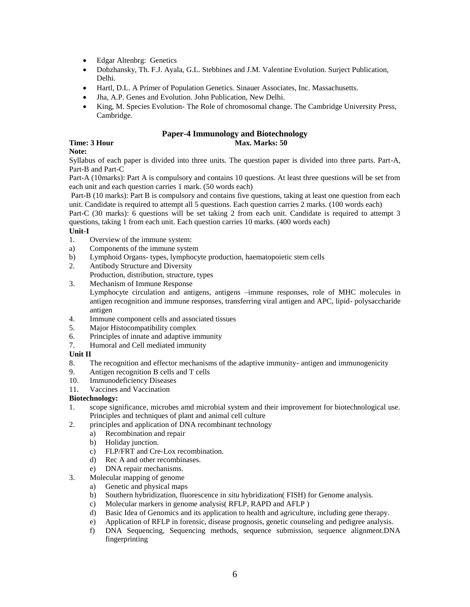- Edgar Altenbrg: Genetics
- Dobzhansky, Th. F.J. Ayala, G.L. Stebbines and J.M. Valentine Evolution. Surject Publication, Delhi.
- Hartl, D.L. A Primer of Population Genetics. Sinauer Associates, Inc. Massachusetts.
- Jha, A.P. Genes and Evolution. John Publication, New Delhi.
- King, M. Species Evolution- The Role of chromosomal change. The Cambridge University Press, Cambridge.

#### **Paper-4 Immunology and Biotechnology Time: 3 Hour Max. Marks: 50**

# **Note:**

Syllabus of each paper is divided into three units. The question paper is divided into three parts. Part-A, Part-B and Part-C

Part-A (10marks): Part A is compulsory and contains 10 questions. At least three questions will be set from each unit and each question carries 1 mark. (50 words each)

Part-B (10 marks): Part B is compulsory and contains five questions, taking at least one question from each unit. Candidate is required to attempt all 5 questions. Each question carries 2 marks. (100 words each)

Part-C (30 marks): 6 questions will be set taking 2 from each unit. Candidate is required to attempt 3 questions, taking 1 from each unit. Each question carries 10 marks. (400 words each)

#### **Unit-I**

- 1. Overview of the immune system:
- a) Components of the immune system
- b) Lymphoid Organs- types, lymphocyte production, haematopoietic stem cells
- 2. Antibody Structure and Diversity
- Production, distribution, structure, types
- 3. Mechanism of Immune Response

Lymphocyte circulation and antigens, antigens –immune responses, role of MHC molecules in antigen recognition and immune responses, transferring viral antigen and APC, lipid- polysaccharide antigen

- 4. Immune component cells and associated tissues
- 5. Major Histocompatibility complex
- 6. Principles of innate and adaptive immunity
- 7. Humoral and Cell mediated immunity

#### **Unit II**

- 8. The recognition and effector mechanisms of the adaptive immunity- antigen and immunogenicity
- 9. Antigen recognition B cells and T cells
- 10. Immunodeficiency Diseases
- 11. Vaccines and Vaccination

#### **Biotechnology:**

- 1. scope significance, microbes amd microbial system and their improvement for biotechnological use. Principles and techniques of plant and animal cell culture
- 2. principles and application of DNA recombinant technology
	- a) Recombination and repair
	- b) Holiday junction.
	- c) FLP/FRT and Cre-Lox recombination.
	- d) Rec A and other recombinases.
	- e) DNA repair mechanisms.
- 3. Molecular mapping of genome
	- a) Genetic and physical maps
	- b) Southern hybridization, fluorescence in *situ* hybridization( FISH) for Genome analysis.
	- c) Molecular markers in genome analysis( RFLP, RAPD and AFLP )
	- d) Basic Idea of Genomics and its application to health and agriculture, including gene therapy.
	- e) Application of RFLP in forensic, disease prognosis, genetic counseling and pedigree analysis.
	- f) DNA Sequencing, Sequencing methods, sequence submission, sequence alignment.DNA fingerprinting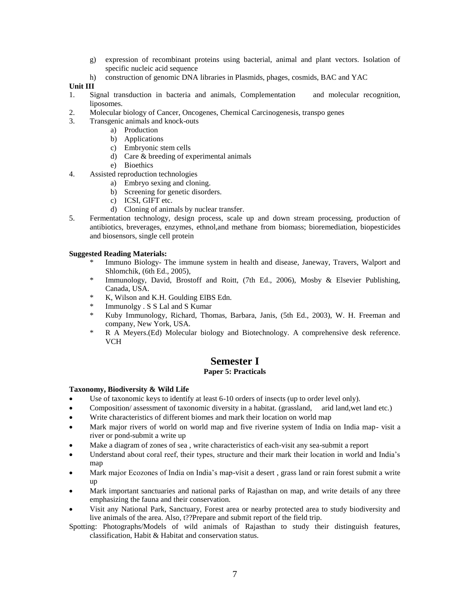- g) expression of recombinant proteins using bacterial, animal and plant vectors. Isolation of specific nucleic acid sequence
- h) construction of genomic DNA libraries in Plasmids, phages, cosmids, BAC and YAC

### **Unit III**

- 1. Signal transduction in bacteria and animals, Complementation and molecular recognition, liposomes.
- 2. Molecular biology of Cancer, Oncogenes, Chemical Carcinogenesis, transpo genes
- 3. Transgenic animals and knock-outs
	- a) Production
	- b) Applications
	- c) Embryonic stem cells
	- d) Care & breeding of experimental animals
	- e) Bioethics
- 4. Assisted reproduction technologies
	- a) Embryo sexing and cloning.
	- b) Screening for genetic disorders.
	- c) ICSI, GIFT etc.
	- d) Cloning of animals by nuclear transfer.
- 5. Fermentation technology, design process, scale up and down stream processing, production of antibiotics, breverages, enzymes, ethnol,and methane from biomass; bioremediation, biopesticides and biosensors, single cell protein

#### **Suggested Reading Materials:**

- Immuno Biology- The immune system in health and disease, Janeway, Travers, Walport and Shlomchik, (6th Ed., 2005),
- \* Immunology, David, Brostoff and Roitt, (7th Ed., 2006), Mosby & Elsevier Publishing, Canada, USA.
- \* K, Wilson and K.H. Goulding ElBS Edn.
- \* Immunolgy . S S Lal and S Kumar
- \* Kuby Immunology, Richard, Thomas, Barbara, Janis, (5th Ed., 2003), W. H. Freeman and company, New York, USA.
- \* R A Meyers.(Ed) Molecular biology and Biotechnology. A comprehensive desk reference. VCH

# **Semester I**

# **Paper 5: Practicals**

#### **Taxonomy, Biodiversity & Wild Life**

- Use of taxonomic keys to identify at least 6-10 orders of insects (up to order level only).
- Composition/ assessment of taxonomic diversity in a habitat. (grassland, arid land,wet land etc.)
- Write characteristics of different biomes and mark their location on world map
- Mark major rivers of world on world map and five riverine system of India on India map- visit a river or pond-submit a write up
- Make a diagram of zones of sea , write characteristics of each-visit any sea-submit a report
- Understand about coral reef, their types, structure and their mark their location in world and India's map
- Mark major Ecozones of India on India's map-visit a desert , grass land or rain forest submit a write up
- Mark important sanctuaries and national parks of Rajasthan on map, and write details of any three emphasizing the fauna and their conservation.
- Visit any National Park, Sanctuary, Forest area or nearby protected area to study biodiversity and live animals of the area. Also, t??Prepare and submit report of the field trip.
- Spotting: Photographs/Models of wild animals of Rajasthan to study their distinguish features, classification, Habit & Habitat and conservation status.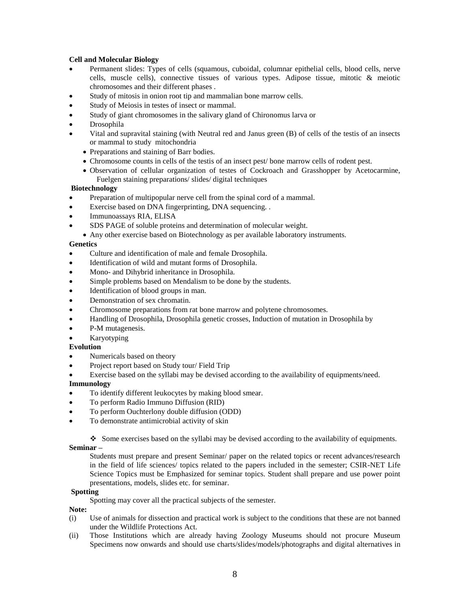#### **Cell and Molecular Biology**

- Permanent slides: Types of cells (squamous, cuboidal, columnar epithelial cells, blood cells, nerve cells, muscle cells), connective tissues of various types. Adipose tissue, mitotic & meiotic chromosomes and their different phases .
- Study of mitosis in onion root tip and mammalian bone marrow cells.
- Study of Meiosis in testes of insect or mammal.
- Study of giant chromosomes in the salivary gland of Chironomus larva or
- Drosophila
- Vital and supravital staining (with Neutral red and Janus green (B) of cells of the testis of an insects or mammal to study mitochondria
	- Preparations and staining of Barr bodies.
	- Chromosome counts in cells of the testis of an insect pest/ bone marrow cells of rodent pest.
	- Observation of cellular organization of testes of Cockroach and Grasshopper by Acetocarmine, Fuelgen staining preparations/ slides/ digital techniques

#### **Biotechnology**

- Preparation of multipopular nerve cell from the spinal cord of a mammal.
- Exercise based on DNA fingerprinting, DNA sequencing. .
- Immunoassays RIA, ELISA
- SDS PAGE of soluble proteins and determination of molecular weight.
	- Any other exercise based on Biotechnology as per available laboratory instruments.

# **Genetics**

- Culture and identification of male and female Drosophila.
- Identification of wild and mutant forms of Drosophila.
- Mono- and Dihybrid inheritance in Drosophila.
- Simple problems based on Mendalism to be done by the students.
- Identification of blood groups in man.
- Demonstration of sex chromatin.
- Chromosome preparations from rat bone marrow and polytene chromosomes.
- Handling of Drosophila, Drosophila genetic crosses, Induction of mutation in Drosophila by
- P-M mutagenesis.
- Karyotyping

# **Evolution**

- Numericals based on theory
- Project report based on Study tour/ Field Trip
- Exercise based on the syllabi may be devised according to the availability of equipments/need.

# **Immunology**

- To identify different leukocytes by making blood smear.
- To perform Radio Immuno Diffusion (RID)
- To perform Ouchterlony double diffusion (ODD)
- To demonstrate antimicrobial activity of skin

 $\bullet$  Some exercises based on the syllabi may be devised according to the availability of equipments.

# **Seminar –**

Students must prepare and present Seminar/ paper on the related topics or recent advances/research in the field of life sciences/ topics related to the papers included in the semester; CSIR-NET Life Science Topics must be Emphasized for seminar topics. Student shall prepare and use power point presentations, models, slides etc. for seminar.

#### **Spotting**

Spotting may cover all the practical subjects of the semester.

#### **Note:**

- (i) Use of animals for dissection and practical work is subject to the conditions that these are not banned under the Wildlife Protections Act.
- (ii) Those Institutions which are already having Zoology Museums should not procure Museum Specimens now onwards and should use charts/slides/models/photographs and digital alternatives in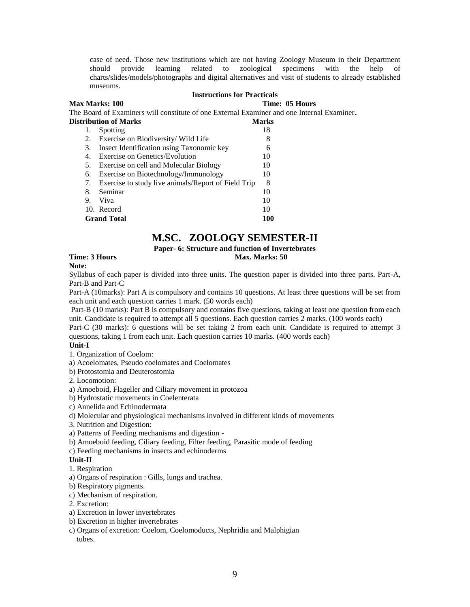case of need. Those new institutions which are not having Zoology Museum in their Department should provide learning related to zoological specimens with the help of charts/slides/models/photographs and digital alternatives and visit of students to already established museums.

#### **Instructions for Practicals**

**Max Marks: 100 Time: 05 Hours** The Board of Examiners will constitute of one External Examiner and one Internal Examiner**.** 

| <b>Distribution of Marks</b> |                                                        | <b>Marks</b> |
|------------------------------|--------------------------------------------------------|--------------|
| 1.                           | Spotting                                               | 18           |
|                              | 2. Exercise on Biodiversity/Wild Life                  | 8            |
| 3.                           | Insect Identification using Taxonomic key              | 6            |
| 4.                           | Exercise on Genetics/Evolution                         | 10           |
| 5.                           | Exercise on cell and Molecular Biology                 | 10           |
| 6.                           | Exercise on Biotechnology/Immunology                   | 10           |
|                              | 7. Exercise to study live animals/Report of Field Trip | 8            |
| 8.                           | Seminar                                                | 10           |
| 9.                           | Viva                                                   | 10           |
|                              | 10. Record                                             | 10           |
|                              | <b>Grand Total</b>                                     | 100          |

# **M.SC. ZOOLOGY SEMESTER-II**

# **Paper- 6: Structure and function of Invertebrates**

**Time: 3 Hours Max. Marks: 50 Max. Marks: 50 Max. Marks: 50 Max. Marks: 50 Max. Marks: 50 Max. Marks: 50 Max. Marks: 50 Max. Marks: 50 Max. Marks: 50 Max. Marks: 50**  $\mu$ **Note:**

Syllabus of each paper is divided into three units. The question paper is divided into three parts. Part-A, Part-B and Part-C

Part-A (10marks): Part A is compulsory and contains 10 questions. At least three questions will be set from each unit and each question carries 1 mark. (50 words each)

Part-B (10 marks): Part B is compulsory and contains five questions, taking at least one question from each unit. Candidate is required to attempt all 5 questions. Each question carries 2 marks. (100 words each)

Part-C (30 marks): 6 questions will be set taking 2 from each unit. Candidate is required to attempt 3 questions, taking 1 from each unit. Each question carries 10 marks. (400 words each)

# **Unit-I**

1. Organization of Coelom:

a) Acoelomates, Pseudo coelomates and Coelomates

b) Protostomia and Deuterostomia

2. Locomotion:

a) Amoeboid, Flageller and Ciliary movement in protozoa

b) Hydrostatic movements in Coelenterata

c) Annelida and Echinodermata

d) Molecular and physiological mechanisms involved in different kinds of movements

3. Nutrition and Digestion:

a) Patterns of Feeding mechanisms and digestion -

b) Amoeboid feeding, Ciliary feeding, Filter feeding, Parasitic mode of feeding

c) Feeding mechanisms in insects and echinoderms

# **Unit-II**

1. Respiration

a) Organs of respiration : Gills, lungs and trachea.

b) Respiratory pigments.

c) Mechanism of respiration.

2. Excretion:

- a) Excretion in lower invertebrates
- b) Excretion in higher invertebrates
- c) Organs of excretion: Coelom, Coelomoducts, Nephridia and Malphigian tubes.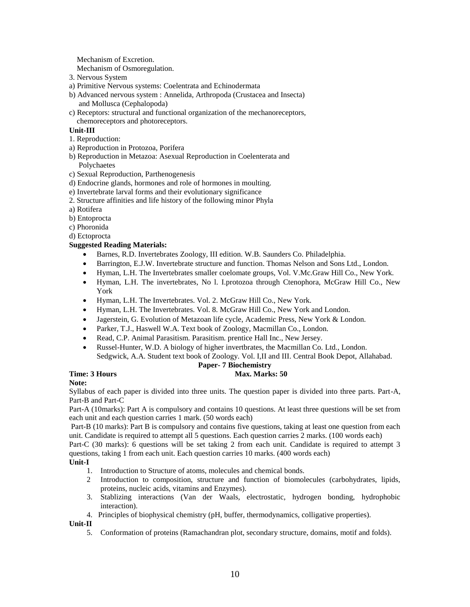Mechanism of Excretion.

Mechanism of Osmoregulation.

- 3. Nervous System
- a) Primitive Nervous systems: Coelentrata and Echinodermata
- b) Advanced nervous system : Annelida, Arthropoda (Crustacea and Insecta) and Mollusca (Cephalopoda)
- c) Receptors: structural and functional organization of the mechanoreceptors, chemoreceptors and photoreceptors.

# **Unit-III**

- 1. Reproduction:
- a) Reproduction in Protozoa, Porifera
- b) Reproduction in Metazoa: Asexual Reproduction in Coelenterata and Polychaetes
- c) Sexual Reproduction, Parthenogenesis
- d) Endocrine glands, hormones and role of hormones in moulting.
- e) Invertebrate larval forms and their evolutionary significance
- 2. Structure affinities and life history of the following minor Phyla
- a) Rotifera
- b) Entoprocta
- c) Phoronida
- d) Ectoprocta

# **Suggested Reading Materials:**

- Barnes, R.D. Invertebrates Zoology, III edition. W.B. Saunders Co. Philadelphia.
- Barrington, E.J.W. Invertebrate structure and function. Thomas Nelson and Sons Ltd., London.
- Hyman, L.H. The Invertebrates smaller coelomate groups, Vol. V.Mc.Graw Hill Co., New York.
- Hyman, L.H. The invertebrates, No l. I.protozoa through Ctenophora, McGraw Hill Co., New York
- Hyman, L.H. The Invertebrates. Vol. 2. McGraw Hill Co., New York.
- Hyman, L.H. The Invertebrates. Vol. 8. McGraw Hill Co., New York and London.
- Jagerstein, G. Evolution of Metazoan life cycle, Academic Press, New York & London.
- Parker, T.J., Haswell W.A. Text book of Zoology, Macmillan Co., London.
- Read, C.P. Animal Parasitism. Parasitism. prentice Hall Inc., New Jersey.
- Russel-Hunter, W.D. A biology of higher invertbrates, the Macmillan Co. Ltd., London. Sedgwick, A.A. Student text book of Zoology. Vol. I,II and III. Central Book Depot, Allahabad.

# **Paper- 7 Biochemistry**

# **Time: 3 Hours Max. Marks: 50 Max. Marks: 50 Max. Marks: 50 Max. Marks: 50 Max. Marks: 50 Max. Marks: 50 Max. Marks: 50 Max. Marks: 50 Max. Marks: 50 Max. Marks: 50**  $\mu$

# **Note:**

Syllabus of each paper is divided into three units. The question paper is divided into three parts. Part-A, Part-B and Part-C

Part-A (10marks): Part A is compulsory and contains 10 questions. At least three questions will be set from each unit and each question carries 1 mark. (50 words each)

Part-B (10 marks): Part B is compulsory and contains five questions, taking at least one question from each unit. Candidate is required to attempt all 5 questions. Each question carries 2 marks. (100 words each)

Part-C (30 marks): 6 questions will be set taking 2 from each unit. Candidate is required to attempt 3 questions, taking 1 from each unit. Each question carries 10 marks. (400 words each)

#### **Unit-I**

- 1. Introduction to Structure of atoms, molecules and chemical bonds.
- 2 Introduction to composition, structure and function of biomolecules (carbohydrates, lipids, proteins, nucleic acids, vitamins and Enzymes).
- 3. Stablizing interactions (Van der Waals, electrostatic, hydrogen bonding, hydrophobic interaction).
- 4. Principles of biophysical chemistry (pH, buffer, thermodynamics, colligative properties).

**Unit-II**

5. Conformation of proteins (Ramachandran plot, secondary structure, domains, motif and folds).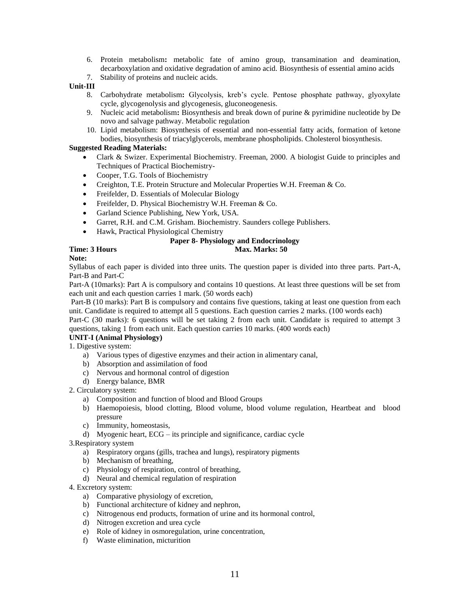- 6. Protein metabolism**:** metabolic fate of amino group, transamination and deamination, decarboxylation and oxidative degradation of amino acid. Biosynthesis of essential amino acids
- 7. Stability of proteins and nucleic acids.

## **Unit-III**

- 8. Carbohydrate metabolism**:** Glycolysis, kreb's cycle. Pentose phosphate pathway, glyoxylate cycle, glycogenolysis and glycogenesis, gluconeogenesis.
- 9. Nucleic acid metabolism**:** Biosynthesis and break down of purine & pyrimidine nucleotide by De novo and salvage pathway. Metabolic regulation
- 10. Lipid metabolism: Biosynthesis of essential and non-essential fatty acids, formation of ketone bodies, biosynthesis of triacylglycerols, membrane phospholipids. Cholesterol biosynthesis.

### **Suggested Reading Materials:**

- Clark & Swizer. Experimental Biochemistry. Freeman, 2000. A biologist Guide to principles and Techniques of Practical Biochemistry-
- Cooper, T.G. Tools of Biochemistry
- Creighton, T.E. Protein Structure and Molecular Properties W.H. Freeman & Co.
- Freifelder, D. Essentials of Molecular Biology
- Freifelder, D. Physical Biochemistry W.H. Freeman & Co.
- Garland Science Publishing, New York, USA.
- Garret, R.H. and C.M. Grisham. Biochemistry. Saunders college Publishers.
- Hawk, Practical Physiological Chemistry

# **Paper 8- Physiology and Endocrinology**

# **Time: 3 Hours** Max. Marks: 50

# **Note:**

Syllabus of each paper is divided into three units. The question paper is divided into three parts. Part-A, Part-B and Part-C

Part-A (10marks): Part A is compulsory and contains 10 questions. At least three questions will be set from each unit and each question carries 1 mark. (50 words each)

Part-B (10 marks): Part B is compulsory and contains five questions, taking at least one question from each unit. Candidate is required to attempt all 5 questions. Each question carries 2 marks. (100 words each)

Part-C (30 marks): 6 questions will be set taking 2 from each unit. Candidate is required to attempt 3 questions, taking 1 from each unit. Each question carries 10 marks. (400 words each)

#### **UNIT-I (Animal Physiology)**

1. Digestive system:

- a) Various types of digestive enzymes and their action in alimentary canal,
- b) Absorption and assimilation of food
- c) Nervous and hormonal control of digestion
- d) Energy balance, BMR

2. Circulatory system:

- a) Composition and function of blood and Blood Groups
- b) Haemopoiesis, blood clotting, Blood volume, blood volume regulation, Heartbeat and blood pressure
- c) Immunity, homeostasis,
- d) Myogenic heart, ECG its principle and significance, cardiac cycle

3.Respiratory system

- a) Respiratory organs (gills, trachea and lungs), respiratory pigments
- b) Mechanism of breathing,
- c) Physiology of respiration, control of breathing,
- d) Neural and chemical regulation of respiration

4. Excretory system:

- a) Comparative physiology of excretion,
- b) Functional architecture of kidney and nephron,
- c) Nitrogenous end products, formation of urine and its hormonal control,
- d) Nitrogen excretion and urea cycle
- e) Role of kidney in osmoregulation, urine concentration,
- f) Waste elimination, micturition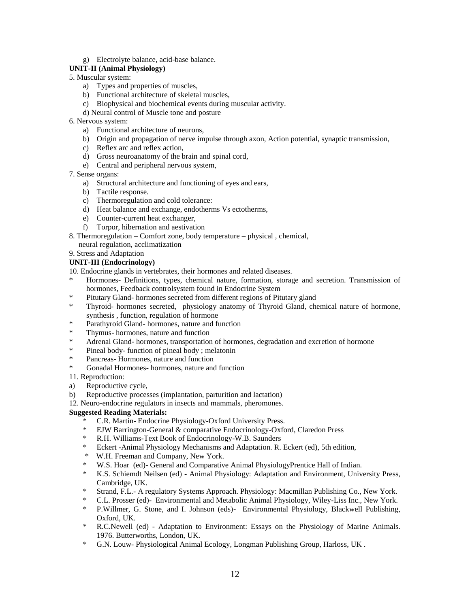g) Electrolyte balance, acid-base balance.

# **UNIT-II (Animal Physiology)**

- 5. Muscular system:
	- a) Types and properties of muscles,
	- b) Functional architecture of skeletal muscles,
	- c) Biophysical and biochemical events during muscular activity.
	- d) Neural control of Muscle tone and posture
- 6. Nervous system:
	- a) Functional architecture of neurons,
	- b) Origin and propagation of nerve impulse through axon, Action potential, synaptic transmission,
	- c) Reflex arc and reflex action,
	- d) Gross neuroanatomy of the brain and spinal cord,
	- e) Central and peripheral nervous system,
- 7. Sense organs:
	- a) Structural architecture and functioning of eyes and ears,
	- b) Tactile response.
	- c) Thermoregulation and cold tolerance:
	- d) Heat balance and exchange, endotherms Vs ectotherms,
	- e) Counter-current heat exchanger,
	- f) Torpor, hibernation and aestivation
- 8. Thermoregulation Comfort zone, body temperature physical , chemical, neural regulation, acclimatization
- 9. Stress and Adaptation
- **UNIT-III (Endocrinology)**

10. Endocrine glands in vertebrates, their hormones and related diseases.

- \* Hormones- Definitions, types, chemical nature, formation, storage and secretion. Transmission of hormones, Feedback controlsystem found in Endocrine System
- \* Pitutary Gland- hormones secreted from different regions of Pitutary gland
- \* Thyroid- hormones secreted, physiology anatomy of Thyroid Gland, chemical nature of hormone, synthesis , function, regulation of hormone
- \* Parathyroid Gland- hormones, nature and function
- \* Thymus- hormones, nature and function
- \* Adrenal Gland- hormones, transportation of hormones, degradation and excretion of hormone<br>\* Pineal hody function of nineal hody unalateria
- \* Pineal body- function of pineal body ; melatonin
- Pancreas- Hormones, nature and function
- \* Gonadal Hormones- hormones, nature and function
- 11. Reproduction:
- a) Reproductive cycle,
- b) Reproductive processes (implantation, parturition and lactation)

12. Neuro-endocrine regulators in insects and mammals, pheromones.

# **Suggested Reading Materials:**

- \* C.R. Martin- Endocrine Physiology-Oxford University Press.
- EJW Barrington-General & comparative Endocrinology-Oxford, Claredon Press
- \* R.H. Williams-Text Book of Endocrinology-W.B. Saunders
- \* Eckert -Animal Physiology Mechanisms and Adaptation. R. Eckert (ed), 5th edition,
- \* W.H. Freeman and Company, New York.
- \* W.S. Hoar (ed)- General and Comparative Animal PhysiologyPrentice Hall of Indian.
- \* K.S. Schiemdt Neilsen (ed) Animal Physiology: Adaptation and Environment, University Press, Cambridge, UK.
- \* Strand, F.L.- A regulatory Systems Approach. Physiology: Macmillan Publishing Co., New York.
- \* C.L. Prosser (ed)- Environmental and Metabolic Animal Physiology, Wiley-Liss Inc., New York.
- \* P.Willmer, G. Stone, and I. Johnson (eds)- Environmental Physiology, Blackwell Publishing, Oxford, UK.
- \* R.C.Newell (ed) Adaptation to Environment: Essays on the Physiology of Marine Animals. 1976. Butterworths, London, UK.
- \* G.N. Louw- Physiological Animal Ecology, Longman Publishing Group, Harloss, UK .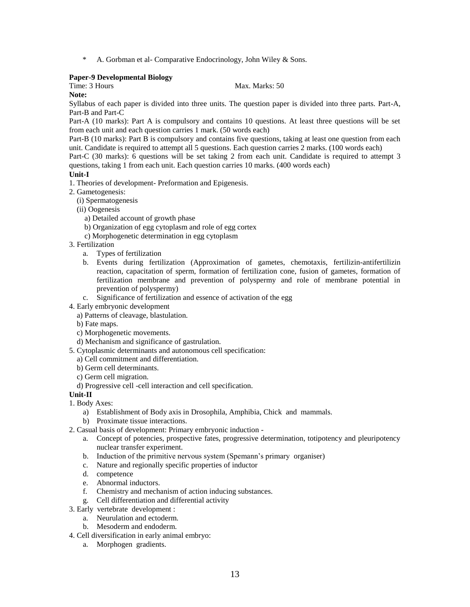\* A. Gorbman et al- Comparative Endocrinology, John Wiley & Sons.

## **Paper-9 Developmental Biology**

# Time: 3 Hours Max. Marks: 50

**Note:**

Syllabus of each paper is divided into three units. The question paper is divided into three parts. Part-A, Part-B and Part-C

Part-A (10 marks): Part A is compulsory and contains 10 questions. At least three questions will be set from each unit and each question carries 1 mark. (50 words each)

Part-B (10 marks): Part B is compulsory and contains five questions, taking at least one question from each unit. Candidate is required to attempt all 5 questions. Each question carries 2 marks. (100 words each)

Part-C (30 marks): 6 questions will be set taking 2 from each unit. Candidate is required to attempt 3 questions, taking 1 from each unit. Each question carries 10 marks. (400 words each)

#### **Unit-I**

- 1. Theories of development- Preformation and Epigenesis.
- 2. Gametogenesis:
	- (i) Spermatogenesis
	- (ii) Oogenesis
		- a) Detailed account of growth phase
		- b) Organization of egg cytoplasm and role of egg cortex
		- c) Morphogenetic determination in egg cytoplasm
- 3. Fertilization
	- a. Types of fertilization
	- b. Events during fertilization (Approximation of gametes, chemotaxis, fertilizin-antifertilizin reaction, capacitation of sperm, formation of fertilization cone, fusion of gametes, formation of fertilization membrane and prevention of polyspermy and role of membrane potential in prevention of polyspermy)
	- c. Significance of fertilization and essence of activation of the egg
- 4. Early embryonic development
	- a) Patterns of cleavage, blastulation.
	- b) Fate maps.
	- c) Morphogenetic movements.
	- d) Mechanism and significance of gastrulation.
- 5. Cytoplasmic determinants and autonomous cell specification:
- a) Cell commitment and differentiation.
- b) Germ cell determinants.
- c) Germ cell migration.
- d) Progressive cell -cell interaction and cell specification.

#### **Unit-II**

- 1. Body Axes:
	- a) Establishment of Body axis in Drosophila, Amphibia, Chick and mammals.
	- b) Proximate tissue interactions.
- 2. Casual basis of development: Primary embryonic induction
	- a. Concept of potencies, prospective fates, progressive determination, totipotency and pleuripotency nuclear transfer experiment.
	- b. Induction of the primitive nervous system (Spemann's primary organiser)
	- c. Nature and regionally specific properties of inductor
	- d. competence
	- e. Abnormal inductors.
	- f. Chemistry and mechanism of action inducing substances.
	- g. Cell differentiation and differential activity
- 3. Early vertebrate development :
	- a. Neurulation and ectoderm.
	- b. Mesoderm and endoderm.
- 4. Cell diversification in early animal embryo:
	- a. Morphogen gradients.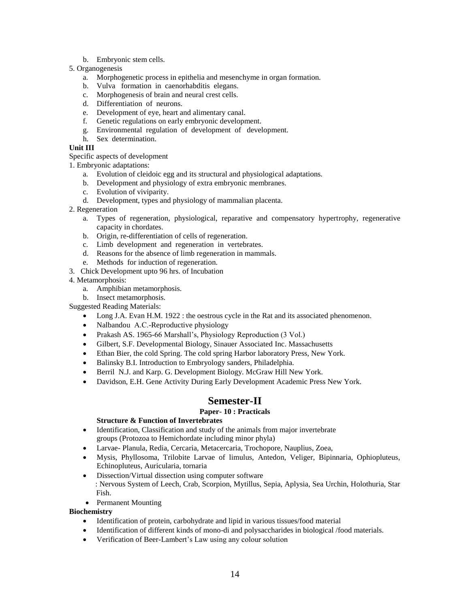- b. Embryonic stem cells.
- 5. Organogenesis
	- a. Morphogenetic process in epithelia and mesenchyme in organ formation.
	- b. Vulva formation in caenorhabditis elegans.
	- c. Morphogenesis of brain and neural crest cells.
	- d. Differentiation of neurons.
	- e. Development of eye, heart and alimentary canal.
	- f. Genetic regulations on early embryonic development.
	- g. Environmental regulation of development of development.
	- h. Sex determination.

## **Unit III**

Specific aspects of development

1. Embryonic adaptations:

- a. Evolution of cleidoic egg and its structural and physiological adaptations.
- b. Development and physiology of extra embryonic membranes.
- c. Evolution of viviparity.
- d. Development, types and physiology of mammalian placenta.
- 2. Regeneration
	- a. Types of regeneration, physiological, reparative and compensatory hypertrophy, regenerative capacity in chordates.
	- b. Origin, re-differentiation of cells of regeneration.
	- c. Limb development and regeneration in vertebrates.
	- d. Reasons for the absence of limb regeneration in mammals.
	- e. Methods for induction of regeneration.
- 3. Chick Development upto 96 hrs. of Incubation
- 4. Metamorphosis:
	- a. Amphibian metamorphosis.
	- b. Insect metamorphosis.

Suggested Reading Materials:

- Long J.A. Evan H.M. 1922 : the oestrous cycle in the Rat and its associated phenomenon.
- Nalbandou A.C.-Reproductive physiology
- Prakash AS. 1965-66 Marshall's, Physiology Reproduction (3 Vol.)
- Gilbert, S.F. Developmental Biology, Sinauer Associated Inc. Massachusetts
- Ethan Bier, the cold Spring. The cold spring Harbor laboratory Press, New York.
- Balinsky B.I. Introduction to Embryology sanders, Philadelphia.
- Berril N.J. and Karp. G. Development Biology. McGraw Hill New York.
- Davidson, E.H. Gene Activity During Early Development Academic Press New York.

# **Semester-II**

#### **Paper- 10 : Practicals**

#### **Structure & Function of Invertebrates**

- Identification, Classification and study of the animals from major invertebrate groups (Protozoa to Hemichordate including minor phyla)
- Larvae- Planula, Redia, Cercaria, Metacercaria, Trochopore, Nauplius, Zoea,
- Mysis, Phyllosoma, Trilobite Larvae of limulus, Antedon, Veliger, Bipinnaria, Ophiopluteus, Echinopluteus, Auricularia, tornaria
- Dissection/Virtual dissection using computer software : Nervous System of Leech, Crab, Scorpion, Mytillus, Sepia, Aplysia, Sea Urchin, Holothuria, Star Fish.
- Permanent Mounting

#### **Biochemistry**

- Identification of protein, carbohydrate and lipid in various tissues/food material
- Identification of different kinds of mono-di and polysaccharides in biological /food materials.
- Verification of Beer-Lambert's Law using any colour solution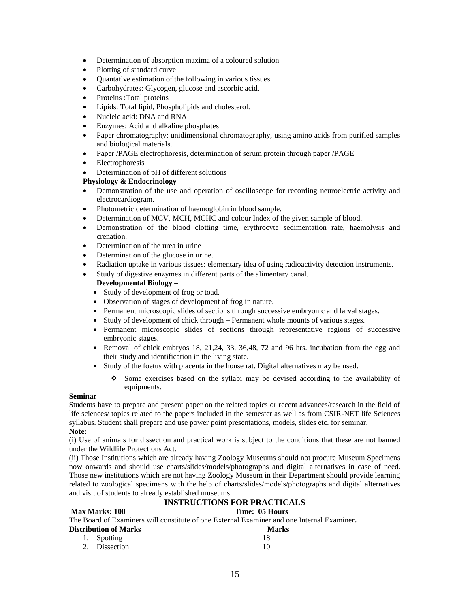- Determination of absorption maxima of a coloured solution
- Plotting of standard curve
- Quantative estimation of the following in various tissues
- Carbohydrates: Glycogen, glucose and ascorbic acid.
- Proteins : Total proteins
- Lipids: Total lipid, Phospholipids and cholesterol.
- Nucleic acid: DNA and RNA
- Enzymes: Acid and alkaline phosphates
- Paper chromatography: unidimensional chromatography, using amino acids from purified samples and biological materials.
- Paper /PAGE electrophoresis, determination of serum protein through paper /PAGE
- Electrophoresis
- Determination of pH of different solutions

# **Physiology & Endocrinology**

- Demonstration of the use and operation of oscilloscope for recording neuroelectric activity and electrocardiogram.
- Photometric determination of haemoglobin in blood sample.
- Determination of MCV, MCH, MCHC and colour Index of the given sample of blood.
- Demonstration of the blood clotting time, erythrocyte sedimentation rate, haemolysis and crenation.
- Determination of the urea in urine
- Determination of the glucose in urine.
- Radiation uptake in various tissues: elementary idea of using radioactivity detection instruments.
- Study of digestive enzymes in different parts of the alimentary canal.

# **Developmental Biology –**

- Study of development of frog or toad.
- Observation of stages of development of frog in nature.
- Permanent microscopic slides of sections through successive embryonic and larval stages.
- Study of development of chick through Permanent whole mounts of various stages.
- Permanent microscopic slides of sections through representative regions of successive embryonic stages.
- Removal of chick embryos 18, 21,24, 33, 36,48, 72 and 96 hrs. incubation from the egg and their study and identification in the living state.
- Study of the foetus with placenta in the house rat. Digital alternatives may be used.
	- Some exercises based on the syllabi may be devised according to the availability of equipments.

#### **Seminar –**

Students have to prepare and present paper on the related topics or recent advances/research in the field of life sciences/ topics related to the papers included in the semester as well as from CSIR-NET life Sciences syllabus. Student shall prepare and use power point presentations, models, slides etc. for seminar. **Note:** 

#### (i) Use of animals for dissection and practical work is subject to the conditions that these are not banned under the Wildlife Protections Act.

(ii) Those Institutions which are already having Zoology Museums should not procure Museum Specimens now onwards and should use charts/slides/models/photographs and digital alternatives in case of need. Those new institutions which are not having Zoology Museum in their Department should provide learning related to zoological specimens with the help of charts/slides/models/photographs and digital alternatives and visit of students to already established museums.

# **INSTRUCTIONS FOR PRACTICALS**

#### **Max Marks: 100 Time: 05 Hours**

The Board of Examiners will constitute of one External Examiner and one Internal Examiner**.** 

| <b>Marks</b> |
|--------------|
| 18           |
| 10           |
|              |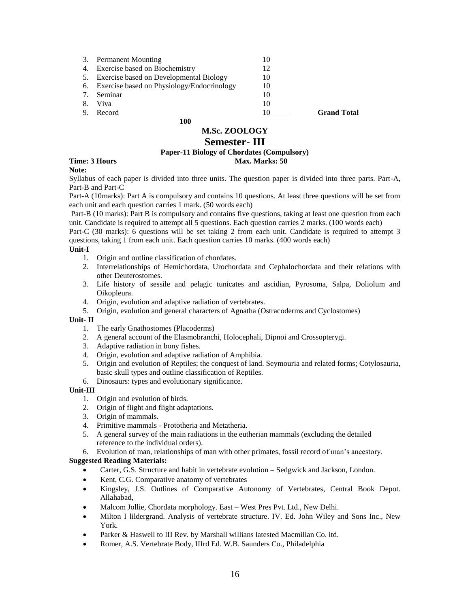|    | 100                                           |    |                    |
|----|-----------------------------------------------|----|--------------------|
| 9. | Record                                        |    | <b>Grand Total</b> |
| 8. | Viva                                          | 10 |                    |
|    | Seminar                                       | 10 |                    |
|    | 6. Exercise based on Physiology/Endocrinology | 10 |                    |
|    | 5. Exercise based on Developmental Biology    | 10 |                    |
|    | 4. Exercise based on Biochemistry             | 12 |                    |
| 3. | <b>Permanent Mounting</b>                     | 10 |                    |
|    |                                               |    |                    |

# **M.Sc. ZOOLOGY**

# **Semester- III**

# **Paper-11 Biology of Chordates (Compulsory)**

# **Time: 3 Hours Max. Marks: 50 Max. Marks: 50 Max. Marks: 50 Max. Marks: 50 Max. Marks: 50 Max. Marks: 50 Max. Marks: 50 Max. Marks: 50 Max. Marks: 50**  $\frac{1}{2}$  **Max. Marks: 50**  $\frac{1}{2}$  **Max. Marks: 50**  $\frac{1}{2}$  **Max. Marks:**

**Note:**

Syllabus of each paper is divided into three units. The question paper is divided into three parts. Part-A,

Part-B and Part-C

Part-A (10marks): Part A is compulsory and contains 10 questions. At least three questions will be set from each unit and each question carries 1 mark. (50 words each)

Part-B (10 marks): Part B is compulsory and contains five questions, taking at least one question from each unit. Candidate is required to attempt all 5 questions. Each question carries 2 marks. (100 words each)

Part-C (30 marks): 6 questions will be set taking 2 from each unit. Candidate is required to attempt 3 questions, taking 1 from each unit. Each question carries 10 marks. (400 words each)

#### **Unit-I**

- 1. Origin and outline classification of chordates.
- 2. Interrelationships of Hemichordata, Urochordata and Cephalochordata and their relations with other Deuterostomes.
- 3. Life history of sessile and pelagic tunicates and ascidian, Pyrosoma, Salpa, Doliolum and Oikopleura.
- 4. Origin, evolution and adaptive radiation of vertebrates.
- 5. Origin, evolution and general characters of Agnatha (Ostracoderms and Cyclostomes)

#### **Unit- II**

- 1. The early Gnathostomes (Placoderms)
- 2. A general account of the Elasmobranchi, Holocephali, Dipnoi and Crossopterygi.
- 3. Adaptive radiation in bony fishes.
- 4. Origin, evolution and adaptive radiation of Amphibia.
- 5. Origin and evolution of Reptiles; the conquest of land. Seymouria and related forms; Cotylosauria, basic skull types and outline classification of Reptiles.
- 6. Dinosaurs: types and evolutionary significance.

# **Unit-III**

- 1. Origin and evolution of birds.
- 2. Origin of flight and flight adaptations.
- 3. Origin of mammals.
- 4. Primitive mammals Prototheria and Metatheria.
- 5. A general survey of the main radiations in the eutherian mammals (excluding the detailed reference to the individual orders).
- 6. Evolution of man, relationships of man with other primates, fossil record of man's ancestory.

# **Suggested Reading Materials:**

- Carter, G.S. Structure and habit in vertebrate evolution Sedgwick and Jackson, London.
- Kent, C.G. Comparative anatomy of vertebrates
- Kingsley, J.S. Outlines of Comparative Autonomy of Vertebrates, Central Book Depot. Allahabad,
- Malcom Jollie, Chordata morphology. East West Pres Pvt. Ltd., New Delhi.
- Milton I lildergrand. Analysis of vertebrate structure. IV. Ed. John Wiley and Sons Inc., New York.
- Parker & Haswell to III Rev. by Marshall willians latested Macmillan Co. ltd.
- Romer, A.S. Vertebrate Body, IIIrd Ed. W.B. Saunders Co., Philadelphia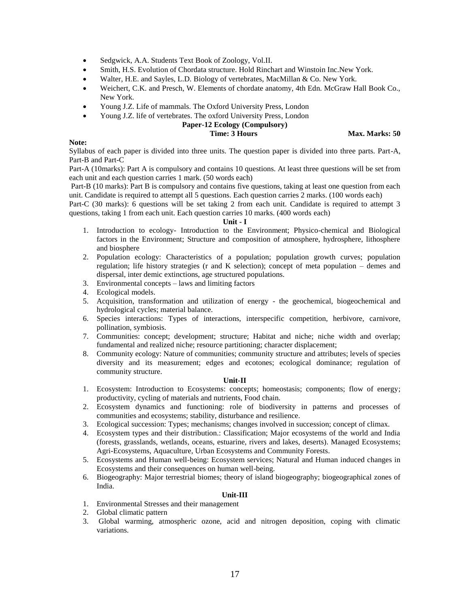- Sedgwick, A.A. Students Text Book of Zoology, Vol.II.
- Smith, H.S. Evolution of Chordata structure. Hold Rinchart and Winstoin Inc.New York.
- Walter, H.E. and Sayles, L.D. Biology of vertebrates, MacMillan & Co. New York.
- Weichert, C.K. and Presch, W. Elements of chordate anatomy, 4th Edn. McGraw Hall Book Co., New York.
- Young J.Z. Life of mammals. The Oxford University Press, London
- Young J.Z. life of vertebrates. The oxford University Press, London

# **Paper-12 Ecology (Compulsory)**

**Time: 3 Hours Max. Marks: 50** 

#### **Note:**

Syllabus of each paper is divided into three units. The question paper is divided into three parts. Part-A, Part-B and Part-C

Part-A (10marks): Part A is compulsory and contains 10 questions. At least three questions will be set from each unit and each question carries 1 mark. (50 words each)

Part-B (10 marks): Part B is compulsory and contains five questions, taking at least one question from each unit. Candidate is required to attempt all 5 questions. Each question carries 2 marks. (100 words each)

Part-C (30 marks): 6 questions will be set taking 2 from each unit. Candidate is required to attempt 3 questions, taking 1 from each unit. Each question carries 10 marks. (400 words each)

#### **Unit - I**

- 1. Introduction to ecology- Introduction to the Environment; Physico-chemical and Biological factors in the Environment; Structure and composition of atmosphere, hydrosphere, lithosphere and biosphere
- 2. Population ecology: Characteristics of a population; population growth curves; population regulation; life history strategies (r and K selection); concept of meta population – demes and dispersal, inter demic extinctions, age structured populations.
- 3. Environmental concepts laws and limiting factors
- 4. Ecological models.
- 5. Acquisition, transformation and utilization of energy the geochemical, biogeochemical and hydrological cycles; material balance.
- 6. Species interactions: Types of interactions, interspecific competition, herbivore, carnivore, pollination, symbiosis.
- 7. Communities: concept; development; structure; Habitat and niche; niche width and overlap; fundamental and realized niche; resource partitioning; character displacement;
- 8. Community ecology: Nature of communities; community structure and attributes; levels of species diversity and its measurement; edges and ecotones; ecological dominance; regulation of community structure.

#### **Unit-II**

- 1. Ecosystem: Introduction to Ecosystems: concepts; homeostasis; components; flow of energy; productivity, cycling of materials and nutrients, Food chain.
- 2. Ecosystem dynamics and functioning: role of biodiversity in patterns and processes of communities and ecosystems; stability, disturbance and resilience.
- 3. Ecological succession: Types; mechanisms; changes involved in succession; concept of climax.
- 4. Ecosystem types and their distribution.: Classification; Major ecosystems of the world and India (forests, grasslands, wetlands, oceans, estuarine, rivers and lakes, deserts). Managed Ecosystems; Agri-Ecosystems, Aquaculture, Urban Ecosystems and Community Forests.
- 5. Ecosystems and Human well-being: Ecosystem services; Natural and Human induced changes in Ecosystems and their consequences on human well-being.
- 6. Biogeography: Major terrestrial biomes; theory of island biogeography; biogeographical zones of India.

#### **Unit-III**

- 1. Environmental Stresses and their management
- 2. Global climatic pattern
- 3. Global warming, atmospheric ozone, acid and nitrogen deposition, coping with climatic variations.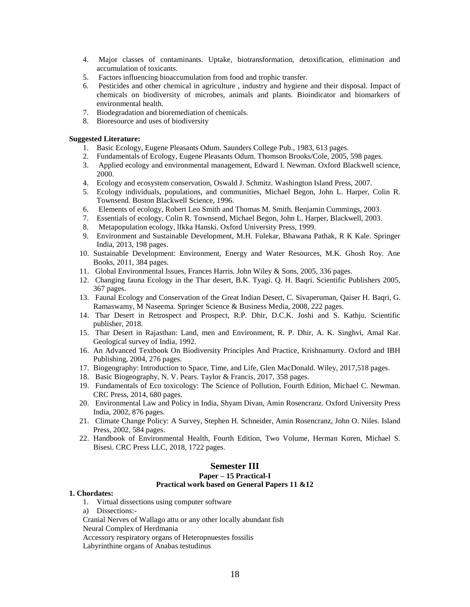- 4. Major classes of contaminants. Uptake, biotransformation, detoxification, elimination and accumulation of toxicants.
- 5. Factors influencing bioaccumulation from food and trophic transfer.
- 6. Pesticides and other chemical in agriculture , industry and hygiene and their disposal. Impact of chemicals on biodiversity of microbes, animals and plants. Bioindicator and biomarkers of environmental health.
- 7. Biodegradation and bioremediation of chemicals.
- 8. Bioresource and uses of biodiversity

#### **Suggested Literature:**

- 1. Basic Ecology, Eugene Pleasants Odum. Saunders College Pub., 1983, 613 pages.
- 2. Fundamentals of Ecology, Eugene Pleasants Odum. Thomson Brooks/Cole, 2005, 598 pages.
- 3. Applied ecology and environmental management, Edward I. Newman. Oxford Blackwell science, 2000.
- 4. Ecology and ecosystem conservation, Oswald J. Schmitz. Washington Island Press, 2007.
- 5. Ecology individuals, populations, and communities, Michael Begon, John L. Harper, Colin R. Townsend. Boston Blackwell Science, 1996.
- 6. Elements of ecology, Robert Leo Smith and Thomas M. Smith. Benjamin Cummings, 2003.
- 7. Essentials of ecology, Colin R. Townsend, Michael Begon, John L. Harper, Blackwell, 2003.
- 8. Metapopulation ecology, lIkka Hanski. Oxford University Press, 1999.
- 9. Environment and Sustainable Development, M.H. Fulekar, Bhawana Pathak, R K Kale. Springer India, 2013, 198 pages.
- 10. Sustainable Development: Environment, Energy and Water Resources, M.K. Ghosh Roy. Ane Books, 2011, 384 pages.
- 11. Global Environmental Issues, Frances Harris. John Wiley & Sons, 2005, 336 pages.
- 12. Changing fauna Ecology in the Thar desert, B.K. Tyagi. Q. H. Baqri. Scientific Publishers 2005, 367 pages.
- 13. Faunal Ecology and Conservation of the Great Indian Desert, C. Sivaperuman, Qaiser H. Baqri, G. Ramaswamy, M Naseema. Springer Science & Business Media, 2008, 222 pages.
- 14. Thar Desert in Retrospect and Prospect, R.P. Dhir, D.C.K. Joshi and S. Kathju. Scientific publisher, 2018.
- 15. Thar Desert in Rajasthan: Land, men and Environment, R. P. Dhir, A. K. Singhvi, Amal Kar. Geological survey of India, 1992.
- 16. An Advanced Textbook On Biodiversity Principles And Practice, Krishnamurty. Oxford and IBH Publishing, 2004, 276 pages.
- 17. Biogeography: Introduction to Space, Time, and Life, Glen MacDonald. Wiley, 2017,518 pages.
- 18. Basic Biogeography, N. V. Pears. Taylor & Francis, 2017, 358 pages.
- 19. Fundamentals of Eco toxicology: The Science of Pollution, Fourth Edition, Michael C. Newman. CRC Press, 2014, 680 pages.
- 20. Environmental Law and Policy in India, Shyam Divan, Amin Rosencranz. Oxford University Press India, 2002, 876 pages.
- 21. Climate Change Policy: A Survey, Stephen H. Schneider, Amin Rosencranz, John O. Niles. Island Press, 2002, 584 pages.
- 22. Handbook of Environmental Health, Fourth Edition, Two Volume, Herman Koren, Michael S. Bisesi. CRC Press LLC, 2018, 1722 pages.

#### **Semester III**

### **Paper – 15 Practical-I Practical work based on General Papers 11 &12**

#### **1. Chordates:**

- 1. Virtual dissections using computer software
- a) Dissections:-
- Cranial Nerves of Wallago attu or any other locally abundant fish
- Neural Complex of Herdmania
- Accessory respiratory organs of Heteropnuestes fossilis
- Labyrinthine organs of Anabas testudinus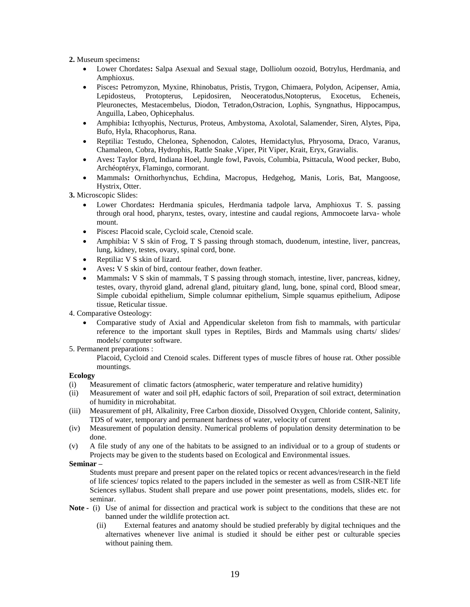**2.** Museum specimens**:**

- Lower Chordates**:** Salpa Asexual and Sexual stage, Dolliolum oozoid, Botrylus, Herdmania, and Amphioxus.
- Pisces**:** Petromyzon, Myxine, Rhinobatus, Pristis, Trygon, Chimaera, Polydon, Acipenser, Amia, Lepidosteus, Protopterus, Lepidosiren, Neoceratodus,Notopterus, Exocetus, Echeneis, Pleuronectes, Mestacembelus, Diodon, Tetradon,Ostracion, Lophis, Syngnathus, Hippocampus, Anguilla, Labeo, Ophicephalus.
- Amphibia**:** Icthyophis, Necturus, Proteus, Ambystoma, Axolotal, Salamender, Siren, Alytes, Pipa, Bufo, Hyla, Rhacophorus, Rana.
- Reptilia**:** Testudo, Chelonea, Sphenodon, Calotes, Hemidactylus, Phryosoma, Draco, Varanus, Chamaleon, Cobra, Hydrophis, Rattle Snake ,Viper, Pit Viper, Krait, Eryx, Gravialis.
- Aves**:** Taylor Byrd, Indiana Hoel, Jungle fowl, Pavois, Columbia, Psittacula, Wood pecker, Bubo, Archéoptéryx, Flamingo, cormorant.
- Mammals**:** Ornithorhynchus, Echdina, Macropus, Hedgehog, Manis, Loris, Bat, Mangoose, Hystrix, Otter.

**3.** Microscopic Slides:

- Lower Chordates**:** Herdmania spicules, Herdmania tadpole larva, Amphioxus T. S. passing through oral hood, pharynx, testes, ovary, intestine and caudal regions, Ammocoete larva- whole mount.
- Pisces**:** Placoid scale, Cycloid scale, Ctenoid scale.
- Amphibia**:** V S skin of Frog, T S passing through stomach, duodenum, intestine, liver, pancreas, lung, kidney, testes, ovary, spinal cord, bone.
- Reptilia**:** V S skin of lizard.
- Aves**:** V S skin of bird, contour feather, down feather.
- Mammals**:** V S skin of mammals, T S passing through stomach, intestine, liver, pancreas, kidney, testes, ovary, thyroid gland, adrenal gland, pituitary gland, lung, bone, spinal cord, Blood smear, Simple cuboidal epithelium, Simple columnar epithelium, Simple squamus epithelium, Adipose tissue, Reticular tissue.
- 4. Comparative Osteology:
	- Comparative study of Axial and Appendicular skeleton from fish to mammals, with particular reference to the important skull types in Reptiles, Birds and Mammals using charts/ slides/ models/ computer software.
- 5. Permanent preparations :

Placoid, Cycloid and Ctenoid scales. Different types of muscle fibres of house rat. Other possible mountings.

#### **Ecology**

- (i) Measurement of climatic factors (atmospheric, water temperature and relative humidity)
- (ii) Measurement of water and soil pH, edaphic factors of soil, Preparation of soil extract, determination of humidity in microhabitat.
- (iii) Measurement of pH, Alkalinity, Free Carbon dioxide, Dissolved Oxygen, Chloride content, Salinity, TDS of water, temporary and permanent hardness of water, velocity of current
- (iv) Measurement of population density. Numerical problems of population density determination to be done.
- (v) A file study of any one of the habitats to be assigned to an individual or to a group of students or Projects may be given to the students based on Ecological and Environmental issues.

#### **Seminar –**

Students must prepare and present paper on the related topics or recent advances/research in the field of life sciences/ topics related to the papers included in the semester as well as from CSIR-NET life Sciences syllabus. Student shall prepare and use power point presentations, models, slides etc. for seminar.

- **Note -** (i) Use of animal for dissection and practical work is subject to the conditions that these are not banned under the wildlife protection act.
	- (ii) External features and anatomy should be studied preferably by digital techniques and the alternatives whenever live animal is studied it should be either pest or culturable species without paining them.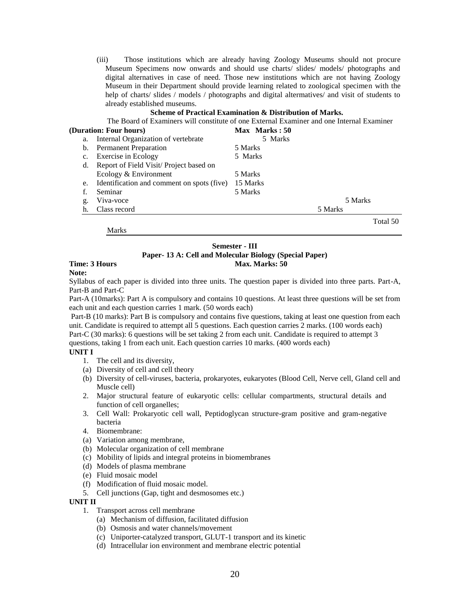(iii) Those institutions which are already having Zoology Museums should not procure Museum Specimens now onwards and should use charts/ slides/ models/ photographs and digital alternatives in case of need. Those new institutions which are not having Zoology Museum in their Department should provide learning related to zoological specimen with the help of charts/ slides / models / photographs and digital altermatives/ and visit of students to already established museums.

#### **Scheme of Practical Examination & Distribution of Marks.**

The Board of Examiners will constitute of one External Examiner and one Internal Examiner

| (Duration: Four hours) |                                               | Max Marks: 50 |          |  |
|------------------------|-----------------------------------------------|---------------|----------|--|
| a.                     | Internal Organization of vertebrate           | 5 Marks       |          |  |
| b.                     | <b>Permanent Preparation</b>                  | 5 Marks       |          |  |
|                        | c. Exercise in Ecology                        | 5 Marks       |          |  |
| d.                     | Report of Field Visit/ Project based on       |               |          |  |
|                        | Ecology & Environment                         | 5 Marks       |          |  |
|                        | e. Identification and comment on spots (five) | 15 Marks      |          |  |
|                        | Seminar                                       | 5 Marks       |          |  |
| g.                     | Viva-voce                                     |               | 5 Marks  |  |
| h.                     | Class record                                  |               | 5 Marks  |  |
|                        |                                               |               | Total 50 |  |

Marks

#### **Semester - III Paper- 13 A: Cell and Molecular Biology (Special Paper) Time: 3 Hours Max. Marks: 50 Max. Marks: 50**

#### **Note:**

Syllabus of each paper is divided into three units. The question paper is divided into three parts. Part-A, Part-B and Part-C

Part-A (10marks): Part A is compulsory and contains 10 questions. At least three questions will be set from each unit and each question carries 1 mark. (50 words each)

Part-B (10 marks): Part B is compulsory and contains five questions, taking at least one question from each unit. Candidate is required to attempt all 5 questions. Each question carries 2 marks. (100 words each)

Part-C (30 marks): 6 questions will be set taking 2 from each unit. Candidate is required to attempt 3 questions, taking 1 from each unit. Each question carries 10 marks. (400 words each)

# **UNIT I**

- 1. The cell and its diversity,
- (a) Diversity of cell and cell theory
- (b) Diversity of cell-viruses, bacteria, prokaryotes, eukaryotes (Blood Cell, Nerve cell, Gland cell and Muscle cell)
- 2. Major structural feature of eukaryotic cells: cellular compartments, structural details and function of cell organelles;
- 3. Cell Wall: Prokaryotic cell wall, Peptidoglycan structure-gram positive and gram-negative bacteria
- 4. Biomembrane:
- (a) Variation among membrane,
- (b) Molecular organization of cell membrane
- (c) Mobility of lipids and integral proteins in biomembranes
- (d) Models of plasma membrane
- (e) Fluid mosaic model
- (f) Modification of fluid mosaic model.
- 5. Cell junctions (Gap, tight and desmosomes etc.)

#### **UNIT II**

- 1. Transport across cell membrane
	- (a) Mechanism of diffusion, facilitated diffusion
	- (b) Osmosis and water channels/movement
	- (c) Uniporter-catalyzed transport, GLUT-1 transport and its kinetic
	- (d) Intracellular ion environment and membrane electric potential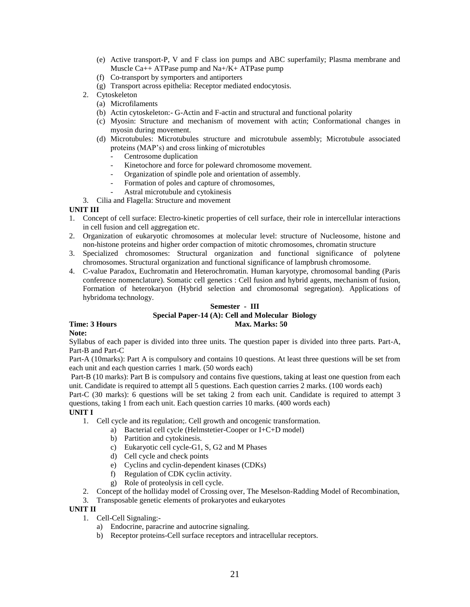- (e) Active transport-P, V and F class ion pumps and ABC superfamily; Plasma membrane and Muscle Ca++ ATPase pump and Na+/K+ ATPase pump
- (f) Co-transport by symporters and antiporters
- (g) Transport across epithelia: Receptor mediated endocytosis.
- 2. Cytoskeleton
	- (a) Microfilaments
	- (b) Actin cytoskeleton:- G-Actin and F-actin and structural and functional polarity
	- (c) Myosin: Structure and mechanism of movement with actin; Conformational changes in myosin during movement.
	- (d) Microtubules: Microtubules structure and microtubule assembly; Microtubule associated proteins (MAP's) and cross linking of microtubles
		- Centrosome duplication
		- Kinetochore and force for poleward chromosome movement.
		- Organization of spindle pole and orientation of assembly.
		- Formation of poles and capture of chromosomes,
		- Astral microtubule and cytokinesis

3. Cilia and Flagella: Structure and movement

#### **UNIT III**

- 1. Concept of cell surface: Electro-kinetic properties of cell surface, their role in intercellular interactions in cell fusion and cell aggregation etc.
- 2. Organization of eukaryotic chromosomes at molecular level: structure of Nucleosome, histone and non-histone proteins and higher order compaction of mitotic chromosomes, chromatin structure
- 3. Specialized chromosomes: Structural organization and functional significance of polytene chromosomes. Structural organization and functional significance of lampbrush chromosome.
- 4. C-value Paradox, Euchromatin and Heterochromatin. Human karyotype, chromosomal banding (Paris conference nomenclature). Somatic cell genetics : Cell fusion and hybrid agents, mechanism of fusion, Formation of heterokaryon (Hybrid selection and chromosomal segregation). Applications of hybridoma technology.

#### **Semester - III Special Paper-14 (A): Cell and Molecular Biology Time: 3 Hours Max. Marks: 50 Max. Marks: 50**

# **Note:**

Syllabus of each paper is divided into three units. The question paper is divided into three parts. Part-A, Part-B and Part-C

Part-A (10marks): Part A is compulsory and contains 10 questions. At least three questions will be set from each unit and each question carries 1 mark. (50 words each)

Part-B (10 marks): Part B is compulsory and contains five questions, taking at least one question from each unit. Candidate is required to attempt all 5 questions. Each question carries 2 marks. (100 words each)

Part-C (30 marks): 6 questions will be set taking 2 from each unit. Candidate is required to attempt 3 questions, taking 1 from each unit. Each question carries 10 marks. (400 words each)

#### **UNIT I**

- 1. Cell cycle and its regulation;. Cell growth and oncogenic transformation.
	- a) Bacterial cell cycle (Helmstetier-Cooper or I+C+D model)
	- b) Partition and cytokinesis.
	- c) Eukaryotic cell cycle-G1, S, G2 and M Phases
	- d) Cell cycle and check points
	- e) Cyclins and cyclin-dependent kinases (CDKs)
	- f) Regulation of CDK cyclin activity.
	- g) Role of proteolysis in cell cycle.
- 2. Concept of the holliday model of Crossing over, The Meselson-Radding Model of Recombination,
- 3. Transposable genetic elements of prokaryotes and eukaryotes

#### **UNIT II**

- 1. Cell-Cell Signaling:
	- a) Endocrine, paracrine and autocrine signaling.
	- b) Receptor proteins-Cell surface receptors and intracellular receptors.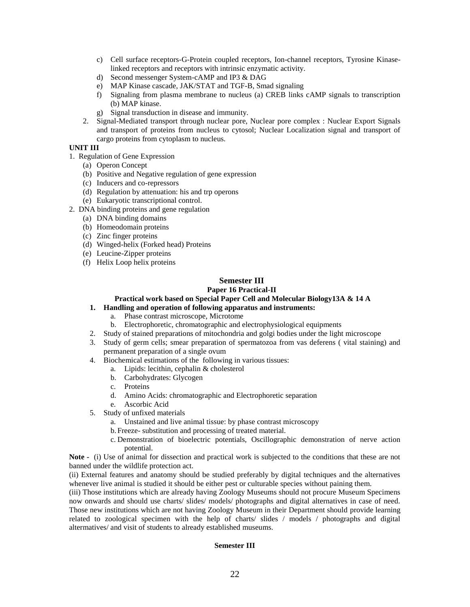- c) Cell surface receptors-G-Protein coupled receptors, Ion-channel receptors, Tyrosine Kinaselinked receptors and receptors with intrinsic enzymatic activity.
- d) Second messenger System-cAMP and IP3 & DAG
- e) MAP Kinase cascade, JAK/STAT and TGF-B, Smad signaling
- f) Signaling from plasma membrane to nucleus (a) CREB links cAMP signals to transcription (b) MAP kinase.
- g) Signal transduction in disease and immunity.
- 2. Signal-Mediated transport through nuclear pore, Nuclear pore complex : Nuclear Export Signals and transport of proteins from nucleus to cytosol; Nuclear Localization signal and transport of cargo proteins from cytoplasm to nucleus.

#### **UNIT III**

- 1. Regulation of Gene Expression
	- (a) Operon Concept
	- (b) Positive and Negative regulation of gene expression
	- (c) Inducers and co-repressors
	- (d) Regulation by attenuation: his and trp operons
	- (e) Eukaryotic transcriptional control.
- 2. DNA binding proteins and gene regulation
	- (a) DNA binding domains
	- (b) Homeodomain proteins
	- (c) Zinc finger proteins
	- (d) Winged-helix (Forked head) Proteins
	- (e) Leucine-Zipper proteins
	- (f) Helix Loop helix proteins

# **Semester III**

# **Paper 16 Practical-II**

#### **Practical work based on Special Paper Cell and Molecular Biology13A & 14 A**

# **1. Handling and operation of following apparatus and instruments:**

- a. Phase contrast microscope, Microtome
- b. Electrophoretic, chromatographic and electrophysiological equipments
- 2. Study of stained preparations of mitochondria and golgi bodies under the light microscope
- 3. Study of germ cells; smear preparation of spermatozoa from vas deferens ( vital staining) and permanent preparation of a single ovum
- 4. Biochemical estimations of the following in various tissues:
	- a. Lipids: lecithin, cephalin & cholesterol
	- b. Carbohydrates: Glycogen
	- c. Proteins
	- d. Amino Acids: chromatographic and Electrophoretic separation
	- e. Ascorbic Acid
- 5. Study of unfixed materials
	- a. Unstained and live animal tissue: by phase contrast microscopy
	- b. Freeze- substitution and processing of treated material.
	- c. Demonstration of bioelectric potentials, Oscillographic demonstration of nerve action potential.

**Note -** (i) Use of animal for dissection and practical work is subjected to the conditions that these are not banned under the wildlife protection act.

(ii) External features and anatomy should be studied preferably by digital techniques and the alternatives whenever live animal is studied it should be either pest or culturable species without paining them.

(iii) Those institutions which are already having Zoology Museums should not procure Museum Specimens now onwards and should use charts/ slides/ models/ photographs and digital alternatives in case of need. Those new institutions which are not having Zoology Museum in their Department should provide learning related to zoological specimen with the help of charts/ slides / models / photographs and digital altermatives/ and visit of students to already established museums.

#### **Semester III**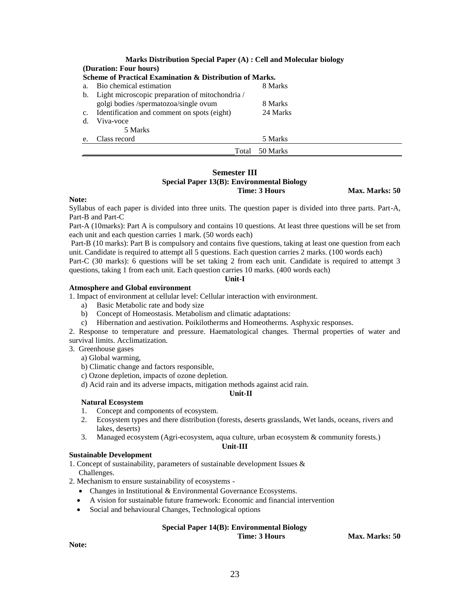|                                                          | Marks Distribution Special Paper (A) : Cell and Molecular biology |          |  |  |  |
|----------------------------------------------------------|-------------------------------------------------------------------|----------|--|--|--|
|                                                          | (Duration: Four hours)                                            |          |  |  |  |
| Scheme of Practical Examination & Distribution of Marks. |                                                                   |          |  |  |  |
| a <sub>1</sub>                                           | Bio chemical estimation                                           | 8 Marks  |  |  |  |
|                                                          | b. Light microscopic preparation of mitochondria /                |          |  |  |  |
|                                                          | golgi bodies /spermatozoa/single ovum                             | 8 Marks  |  |  |  |
|                                                          | c. Identification and comment on spots (eight)                    | 24 Marks |  |  |  |
| d.                                                       | Viva-voce                                                         |          |  |  |  |
|                                                          | 5 Marks                                                           |          |  |  |  |
| e.                                                       | Class record                                                      | 5 Marks  |  |  |  |
|                                                          | Total                                                             | 50 Marks |  |  |  |

# **Semester III**

# **Special Paper 13(B): Environmental Biology**

**Time: 3 Hours Max. Marks: 50** 

#### **Note:**

Syllabus of each paper is divided into three units. The question paper is divided into three parts. Part-A, Part-B and Part-C

Part-A (10marks): Part A is compulsory and contains 10 questions. At least three questions will be set from each unit and each question carries 1 mark. (50 words each)

Part-B (10 marks): Part B is compulsory and contains five questions, taking at least one question from each unit. Candidate is required to attempt all 5 questions. Each question carries 2 marks. (100 words each) Part-C (30 marks): 6 questions will be set taking 2 from each unit. Candidate is required to attempt 3 questions, taking 1 from each unit. Each question carries 10 marks. (400 words each)

#### **Unit-I**

**Atmosphere and Global environment**

1. Impact of environment at cellular level: Cellular interaction with environment.

- a) Basic Metabolic rate and body size
- b) Concept of Homeostasis. Metabolism and climatic adaptations:
- c) Hibernation and aestivation. Poikilotherms and Homeotherms. Asphyxic responses.

2. Response to temperature and pressure. Haematological changes. Thermal properties of water and survival limits. Acclimatization.

3. Greenhouse gases

a) Global warming,

b) Climatic change and factors responsible,

c) Ozone depletion, impacts of ozone depletion.

d) Acid rain and its adverse impacts, mitigation methods against acid rain.

#### **Unit-II**

#### **Natural Ecosystem**

- 1. Concept and components of ecosystem.
- 2. Ecosystem types and there distribution (forests, deserts grasslands, Wet lands, oceans, rivers and lakes, deserts)
- 3. Managed ecosystem (Agri-ecosystem, aqua culture, urban ecosystem & community forests.)

#### **Unit-III**

#### **Sustainable Development**

1. Concept of sustainability, parameters of sustainable development Issues & Challenges.

- 2. Mechanism to ensure sustainability of ecosystems
	- Changes in Institutional & Environmental Governance Ecosystems.
	- A vision for sustainable future framework: Economic and financial intervention
	- Social and behavioural Changes, Technological options

#### **Special Paper 14(B): Environmental Biology**

**Time: 3 Hours Max. Marks: 50** 

**Note:**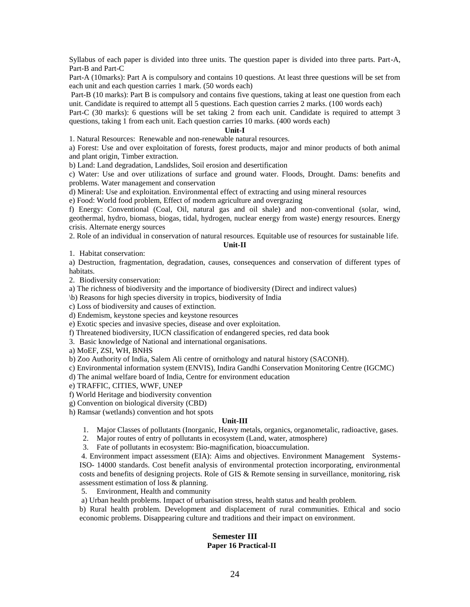Syllabus of each paper is divided into three units. The question paper is divided into three parts. Part-A, Part-B and Part-C

Part-A (10marks): Part A is compulsory and contains 10 questions. At least three questions will be set from each unit and each question carries 1 mark. (50 words each)

Part-B (10 marks): Part B is compulsory and contains five questions, taking at least one question from each unit. Candidate is required to attempt all 5 questions. Each question carries 2 marks. (100 words each)

Part-C (30 marks): 6 questions will be set taking 2 from each unit. Candidate is required to attempt 3 questions, taking 1 from each unit. Each question carries 10 marks. (400 words each)

#### **Unit-I**

1. Natural Resources: Renewable and non-renewable natural resources.

a) Forest: Use and over exploitation of forests, forest products, major and minor products of both animal and plant origin, Timber extraction.

b) Land: Land degradation, Landslides, Soil erosion and desertification

c) Water: Use and over utilizations of surface and ground water. Floods, Drought. Dams: benefits and problems. Water management and conservation

d) Mineral: Use and exploitation. Environmental effect of extracting and using mineral resources

e) Food: World food problem, Effect of modern agriculture and overgrazing

f) Energy: Conventional (Coal, Oil, natural gas and oil shale) and non-conventional (solar, wind, geothermal, hydro, biomass, biogas, tidal, hydrogen, nuclear energy from waste) energy resources. Energy crisis. Alternate energy sources

2. Role of an individual in conservation of natural resources. Equitable use of resources for sustainable life.

#### **Unit-II**

1. Habitat conservation:

a) Destruction, fragmentation, degradation, causes, consequences and conservation of different types of habitats.

2. Biodiversity conservation:

a) The richness of biodiversity and the importance of biodiversity (Direct and indirect values)

\b) Reasons for high species diversity in tropics, biodiversity of India

c) Loss of biodiversity and causes of extinction.

d) Endemism, keystone species and keystone resources

e) Exotic species and invasive species, disease and over exploitation.

f) Threatened biodiversity, IUCN classification of endangered species, red data book

3. Basic knowledge of National and international organisations.

a) MoEF, ZSI, WH, BNHS

b) Zoo Authority of India, Salem Ali centre of ornithology and natural history (SACONH).

c) Environmental information system (ENVIS), Indira Gandhi Conservation Monitoring Centre (IGCMC)

d) The animal welfare board of India, Centre for environment education

e) TRAFFIC, CITIES, WWF, UNEP

f) World Heritage and biodiversity convention

g) Convention on biological diversity (CBD)

h) Ramsar (wetlands) convention and hot spots

# **Unit-III**

- 1. Major Classes of pollutants (Inorganic, Heavy metals, organics, organometalic, radioactive, gases.
- 2. Major routes of entry of pollutants in ecosystem (Land, water, atmosphere)
- 3. Fate of pollutants in ecosystem: Bio-magnification, bioaccumulation.

4. Environment impact assessment (EIA): Aims and objectives. Environment Management Systems-ISO- 14000 standards. Cost benefit analysis of environmental protection incorporating, environmental costs and benefits of designing projects. Role of GIS & Remote sensing in surveillance, monitoring, risk assessment estimation of loss & planning.

5. Environment, Health and community

a) Urban health problems. Impact of urbanisation stress, health status and health problem.

b) Rural health problem. Development and displacement of rural communities. Ethical and socio economic problems. Disappearing culture and traditions and their impact on environment.

#### **Semester III Paper 16 Practical-II**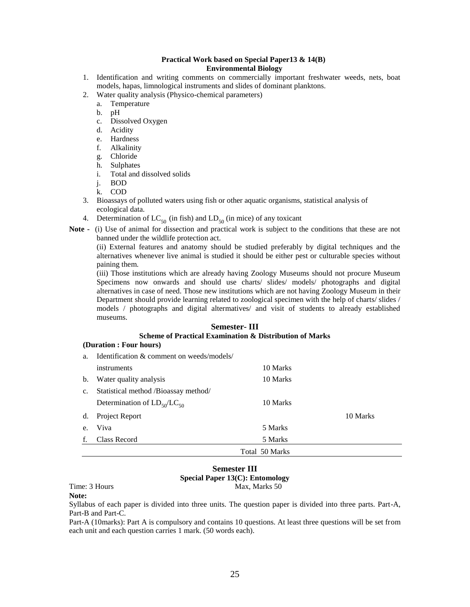#### **Practical Work based on Special Paper13 & 14(B) Environmental Biology**

- 1. Identification and writing comments on commercially important freshwater weeds, nets, boat models, hapas, limnological instruments and slides of dominant planktons.
- 2. Water quality analysis (Physico-chemical parameters)
	- a. Temperature
	- b. pH
	- c. Dissolved Oxygen
	- d. Acidity
	- e. Hardness
	- f. Alkalinity
	- g. Chloride
	- h. Sulphates
	- i. Total and dissolved solids
	- j. BOD
	- k. COD
- 3. Bioassays of polluted waters using fish or other aquatic organisms, statistical analysis of ecological data.
- 4. Determination of  $LC_{50}$  (in fish) and  $LD_{50}$  (in mice) of any toxicant
- **Note -** (i) Use of animal for dissection and practical work is subject to the conditions that these are not banned under the wildlife protection act.

(ii) External features and anatomy should be studied preferably by digital techniques and the alternatives whenever live animal is studied it should be either pest or culturable species without paining them.

(iii) Those institutions which are already having Zoology Museums should not procure Museum Specimens now onwards and should use charts/ slides/ models/ photographs and digital alternatives in case of need. Those new institutions which are not having Zoology Museum in their Department should provide learning related to zoological specimen with the help of charts/ slides / models / photographs and digital altermatives/ and visit of students to already established museums.

# **Semester- III Scheme of Practical Examination & Distribution of Marks**

#### **(Duration : Four hours)**

| a.            | Identification & comment on weeds/models/ |                |          |
|---------------|-------------------------------------------|----------------|----------|
|               | instruments                               | 10 Marks       |          |
| b.            | Water quality analysis                    | 10 Marks       |          |
| $C_{\bullet}$ | Statistical method /Bioassay method/      |                |          |
|               | Determination of $LD_{50}/LC_{50}$        | 10 Marks       |          |
| d.            | Project Report                            |                | 10 Marks |
| $e_{\cdot}$   | Viva                                      | 5 Marks        |          |
| f.            | Class Record                              | 5 Marks        |          |
|               |                                           | Total 50 Marks |          |

#### **Semester III Special Paper 13(C): Entomology** Time: 3 Hours Max, Marks 50

**Note:**

Syllabus of each paper is divided into three units. The question paper is divided into three parts. Part-A, Part-B and Part-C.

Part-A (10marks): Part A is compulsory and contains 10 questions. At least three questions will be set from each unit and each question carries 1 mark. (50 words each).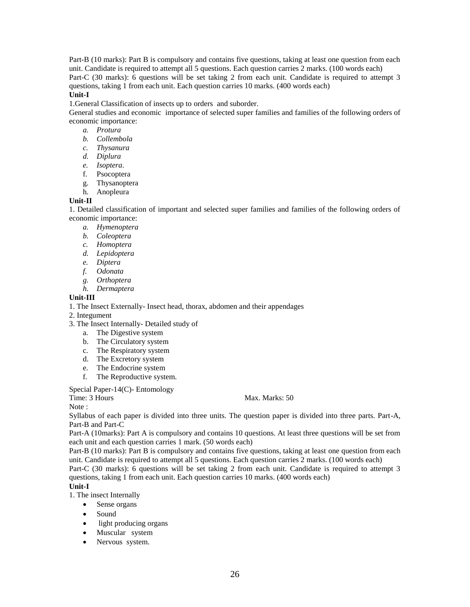Part-B (10 marks): Part B is compulsory and contains five questions, taking at least one question from each unit. Candidate is required to attempt all 5 questions. Each question carries 2 marks. (100 words each) Part-C (30 marks): 6 questions will be set taking 2 from each unit. Candidate is required to attempt 3 questions, taking 1 from each unit. Each question carries 10 marks. (400 words each)

#### **Unit-I**

1.General Classification of insects up to orders and suborder.

General studies and economic importance of selected super families and families of the following orders of economic importance:

- *a. Protura*
- *b. Collembola*
- *c. Thysanura*
- *d. Diplura*
- *e. Isoptera*.
- f. Psocoptera
- g. Thysanoptera
- h. Anopleura

#### **Unit-II**

1. Detailed classification of important and selected super families and families of the following orders of economic importance:

- *a. Hymenoptera*
- *b. Coleoptera*
- *c. Homoptera*
- *d. Lepidoptera*
- *e. Diptera*
- *f. Odonata*
- *g. Orthoptera*
- *h. Dermaptera*

#### **Unit-III**

1. The Insect Externally- Insect head, thorax, abdomen and their appendages

2. Integument

- 3. The Insect Internally- Detailed study of
	- a. The Digestive system
	- b. The Circulatory system
	- c. The Respiratory system
	- d. The Excretory system
	- e. The Endocrine system
	- f. The Reproductive system.

Special Paper-14(C)- Entomology

Note ·

Time: 3 Hours Max. Marks: 50

Syllabus of each paper is divided into three units. The question paper is divided into three parts. Part-A, Part-B and Part-C

Part-A (10marks): Part A is compulsory and contains 10 questions. At least three questions will be set from each unit and each question carries 1 mark. (50 words each)

Part-B (10 marks): Part B is compulsory and contains five questions, taking at least one question from each unit. Candidate is required to attempt all 5 questions. Each question carries 2 marks. (100 words each)

Part-C (30 marks): 6 questions will be set taking 2 from each unit. Candidate is required to attempt 3 questions, taking 1 from each unit. Each question carries 10 marks. (400 words each)

# **Unit-I**

1. The insect Internally

- Sense organs
- Sound
- light producing organs
- Muscular system
- Nervous system.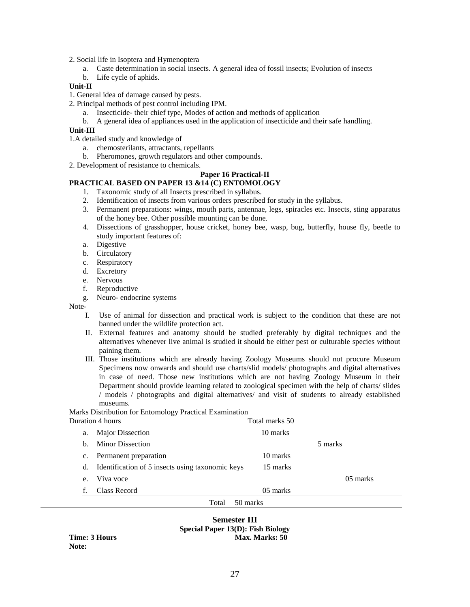2. Social life in Isoptera and Hymenoptera

- a. Caste determination in social insects. A general idea of fossil insects; Evolution of insects
- b. Life cycle of aphids.

#### **Unit-II**

- 1. General idea of damage caused by pests.
- 2. Principal methods of pest control including IPM.
	- a. Insecticide- their chief type, Modes of action and methods of application
	- b. A general idea of appliances used in the application of insecticide and their safe handling.

#### **Unit-III**

1.A detailed study and knowledge of

- a. chemosterilants, attractants, repellants
- b. Pheromones, growth regulators and other compounds.

2. Development of resistance to chemicals.

## **Paper 16 Practical-II**

# **PRACTICAL BASED ON PAPER 13 &14 (C) ENTOMOLOGY**

- 1. Taxonomic study of all Insects prescribed in syllabus.
- 2. Identification of insects from various orders prescribed for study in the syllabus.
- 3. Permanent preparations: wings, mouth parts, antennae, legs, spiracles etc. Insects, sting apparatus of the honey bee. Other possible mounting can be done.
- 4. Dissections of grasshopper, house cricket, honey bee, wasp, bug, butterfly, house fly, beetle to study important features of:
- a. Digestive
- b. Circulatory
- c. Respiratory
- d. Excretory
- e. Nervous
- f. Reproductive
- g. Neuro- endocrine systems

Note-

- I. Use of animal for dissection and practical work is subject to the condition that these are not banned under the wildlife protection act.
- II. External features and anatomy should be studied preferably by digital techniques and the alternatives whenever live animal is studied it should be either pest or culturable species without paining them.
- III. Those institutions which are already having Zoology Museums should not procure Museum Specimens now onwards and should use charts/slid models/ photographs and digital alternatives in case of need. Those new institutions which are not having Zoology Museum in their Department should provide learning related to zoological specimen with the help of charts/ slides / models / photographs and digital alternatives/ and visit of students to already established museums.

#### Marks Distribution for Entomology Practical Examination

|             | Duration 4 hours                                 | Total marks 50 |          |
|-------------|--------------------------------------------------|----------------|----------|
| a.          | <b>Major Dissection</b>                          | 10 marks       |          |
| b.          | <b>Minor Dissection</b>                          |                | 5 marks  |
| $c_{\cdot}$ | Permanent preparation                            | 10 marks       |          |
| d.          | Identification of 5 insects using taxonomic keys | 15 marks       |          |
| e.          | Viva voce                                        |                | 05 marks |
| f.          | Class Record                                     | 05 marks       |          |
|             | Total                                            | 50 marks       |          |
|             |                                                  |                |          |

# **Semester III Special Paper 13(D): Fish Biology Time: 3 Hours Max. Marks: 50**

**Note:**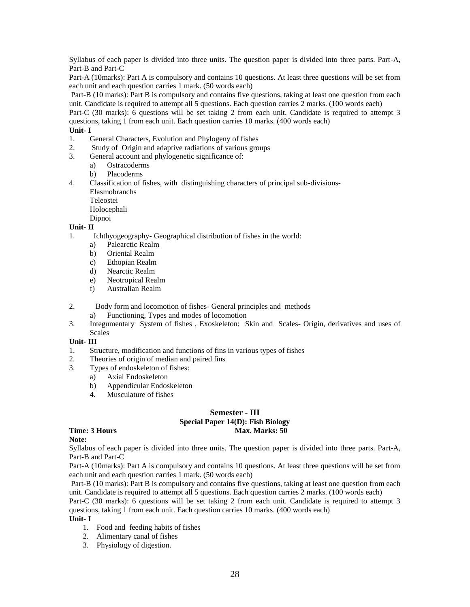Syllabus of each paper is divided into three units. The question paper is divided into three parts. Part-A, Part-B and Part-C

Part-A (10marks): Part A is compulsory and contains 10 questions. At least three questions will be set from each unit and each question carries 1 mark. (50 words each)

Part-B (10 marks): Part B is compulsory and contains five questions, taking at least one question from each unit. Candidate is required to attempt all 5 questions. Each question carries 2 marks. (100 words each)

Part-C (30 marks): 6 questions will be set taking 2 from each unit. Candidate is required to attempt 3 questions, taking 1 from each unit. Each question carries 10 marks. (400 words each)

#### **Unit- I**

- 1. General Characters, Evolution and Phylogeny of fishes
- 2. Study of Origin and adaptive radiations of various groups
- 3. General account and phylogenetic significance of:
	- a) Ostracoderms
	- b) Placoderms
- 4. Classification of fishes, with distinguishing characters of principal sub-divisions-Elasmobranchs

Teleostei

Holocephali

Dipnoi

#### **Unit- II**

- 1. Ichthyogeography- Geographical distribution of fishes in the world:
	- a) Palearctic Realm
	- b) Oriental Realm
	- c) Ethopian Realm
	- d) Nearctic Realm
	- e) Neotropical Realm
	- f) Australian Realm
- 2. Body form and locomotion of fishes- General principles and methods
	- a) Functioning, Types and modes of locomotion
- 3. Integumentary System of fishes , Exoskeleton: Skin and Scales- Origin, derivatives and uses of Scales

#### **Unit- III**

- 1. Structure, modification and functions of fins in various types of fishes
- 2. Theories of origin of median and paired fins
- 3. Types of endoskeleton of fishes:
	- a) Axial Endoskeleton
	- b) Appendicular Endoskeleton
	- 4. Musculature of fishes

#### **Semester - III Special Paper 14(D): Fish Biology Time: 3 Hours Max. Marks: 50**

# **Note:**

Syllabus of each paper is divided into three units. The question paper is divided into three parts. Part-A, Part-B and Part-C

Part-A (10marks): Part A is compulsory and contains 10 questions. At least three questions will be set from each unit and each question carries 1 mark. (50 words each)

Part-B (10 marks): Part B is compulsory and contains five questions, taking at least one question from each unit. Candidate is required to attempt all 5 questions. Each question carries 2 marks. (100 words each)

Part-C (30 marks): 6 questions will be set taking 2 from each unit. Candidate is required to attempt 3 questions, taking 1 from each unit. Each question carries 10 marks. (400 words each)

#### **Unit- I**

- 1. Food and feeding habits of fishes
- 2. Alimentary canal of fishes
- 3. Physiology of digestion.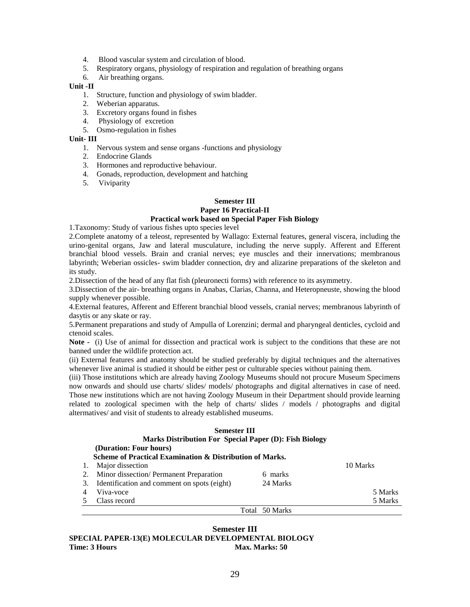- 4. Blood vascular system and circulation of blood.
- 5. Respiratory organs, physiology of respiration and regulation of breathing organs
- 6. Air breathing organs.

#### **Unit -II**

- 1. Structure, function and physiology of swim bladder.
- 2. Weberian apparatus.
- 3. Excretory organs found in fishes
- 4. Physiology of excretion
- 5. Osmo-regulation in fishes

#### **Unit- III**

- 1. Nervous system and sense organs -functions and physiology
- 2. Endocrine Glands
- 3. Hormones and reproductive behaviour.
- 4. Gonads, reproduction, development and hatching
- 5. Viviparity

#### **Semester III**

#### **Paper 16 Practical-II Practical work based on Special Paper Fish Biology**

1.Taxonomy: Study of various fishes upto species level

2.Complete anatomy of a teleost, represented by Wallago: External features, general viscera, including the urino-genital organs, Jaw and lateral musculature, including the nerve supply. Afferent and Efferent branchial blood vessels. Brain and cranial nerves; eye muscles and their innervations; membranous labyrinth; Weberian ossicles- swim bladder connection, dry and alizarine preparations of the skeleton and its study.

2.Dissection of the head of any flat fish (pleuronecti forms) with reference to its asymmetry.

3.Dissection of the air- breathing organs in Anabas, Clarias, Channa, and Heteropneuste, showing the blood supply whenever possible.

4.External features, Afferent and Efferent branchial blood vessels, cranial nerves; membranous labyrinth of dasytis or any skate or ray.

5.Permanent preparations and study of Ampulla of Lorenzini; dermal and pharyngeal denticles, cycloid and ctenoid scales.

**Note -** (i) Use of animal for dissection and practical work is subject to the conditions that these are not banned under the wildlife protection act.

(ii) External features and anatomy should be studied preferably by digital techniques and the alternatives whenever live animal is studied it should be either pest or culturable species without paining them.

(iii) Those institutions which are already having Zoology Museums should not procure Museum Specimens now onwards and should use charts/ slides/ models/ photographs and digital alternatives in case of need. Those new institutions which are not having Zoology Museum in their Department should provide learning related to zoological specimen with the help of charts/ slides / models / photographs and digital altermatives/ and visit of students to already established museums.

| <b>Semester III</b>                                      |                                             |                   |          |
|----------------------------------------------------------|---------------------------------------------|-------------------|----------|
| Marks Distribution For Special Paper (D): Fish Biology   |                                             |                   |          |
|                                                          | (Duration: Four hours)                      |                   |          |
| Scheme of Practical Examination & Distribution of Marks. |                                             |                   |          |
|                                                          | Major dissection                            |                   | 10 Marks |
| 2.                                                       | Minor dissection/ Permanent Preparation     | marks<br>6        |          |
| 3.                                                       | Identification and comment on spots (eight) | 24 Marks          |          |
|                                                          | Viva-voce                                   |                   | 5 Marks  |
|                                                          | Class record                                |                   | 5 Marks  |
|                                                          |                                             | 50 Marks<br>Total |          |

#### **Semester III SPECIAL PAPER-13(E) MOLECULAR DEVELOPMENTAL BIOLOGY Time: 3 Hours Max. Marks: 50 Max. Marks: 50 Max. Marks: 50 Max. Marks: 50 Max. Marks: 50 Max. Marks: 50 Max. Marks: 50 Max. Marks: 50 Max. Marks: 50 Max. Marks: 50**  $\mu$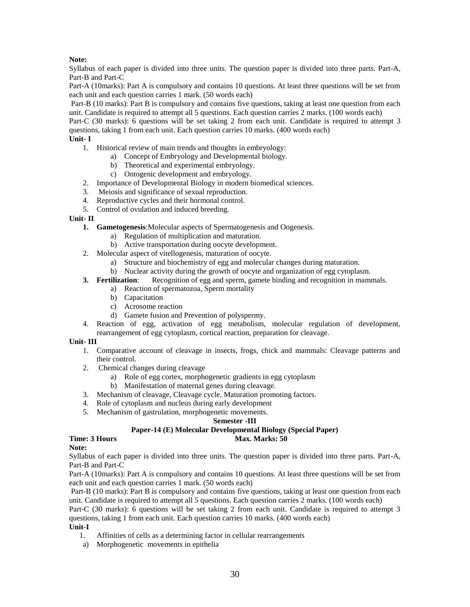# **Note:**

Syllabus of each paper is divided into three units. The question paper is divided into three parts. Part-A, Part-B and Part-C

Part-A (10marks): Part A is compulsory and contains 10 questions. At least three questions will be set from each unit and each question carries 1 mark. (50 words each)

Part-B (10 marks): Part B is compulsory and contains five questions, taking at least one question from each unit. Candidate is required to attempt all 5 questions. Each question carries 2 marks. (100 words each)

Part-C (30 marks): 6 questions will be set taking 2 from each unit. Candidate is required to attempt 3 questions, taking 1 from each unit. Each question carries 10 marks. (400 words each)

## **Unit- I**

1. Historical review of main trends and thoughts in embryology:

- a) Concept of Embryology and Developmental biology.
- b) Theoretical and experimental embryology.
- c) Ontogenic development and embryology.
- 2. Importance of Developmental Biology in modern biomedical sciences.
- 3. Meiosis and significance of sexual reproduction.
- 4. Reproductive cycles and their hormonal control.
- 5. Control of ovulation and induced breeding.

# **Unit- II**

- **1. Gametogenesis**:Molecular aspects of Spermatogenesis and Oogenesis.
	- a) Regulation of multiplication and maturation.
	- b) Active transportation during oocyte development.
- 2. Molecular aspect of vitellogenesis, maturation of oocyte.
	- a) Structure and biochemistry of egg and molecular changes during maturation.
	- b) Nuclear activity during the growth of oocyte and organization of egg cytoplasm.
- **3. Fertilization**: Recognition of egg and sperm, gamete binding and recognition in mammals.
	- a) Reaction of spermatozoa, Sperm mortality
	- b) Capacitation
	- c) Acrosome reaction
	- d) Gamete fusion and Prevention of polyspermy.
- 4. Reaction of egg, activation of egg metabolism, molecular regulation of development, rearrangement of egg cytoplasm, cortical reaction, preparation for cleavage.

#### **Unit- III**

- 1. Comparative account of cleavage in insects, frogs, chick and mammals: Cleavage patterns and their control.
- 2. Chemical changes during cleavage
	- a) Role of egg cortex, morphogenetic gradients in egg cytoplasm
	- b) Manifestation of maternal genes during cleavage.
- 3. Mechanism of cleavage, Cleavage cycle, Maturation promoting factors.
- 4. Role of cytoplasm and nucleus during early development
- 5. Mechanism of gastrulation, morphogenetic movements.

#### **Semester -III**

# **Paper-14 (E) Molecular Developmental Biology (Special Paper)**

#### **Time: 3 Hours Max. Marks: 50 Max. Marks: 50 Max. Marks: 50 Max. Marks: 50 Max. Marks: 50 Max. Marks: 50 Max. Marks: 50 Max. Marks: 50 Max. Marks: 50 Max. Marks: 50**  $\mu$

# **Note:**

Syllabus of each paper is divided into three units. The question paper is divided into three parts. Part-A, Part-B and Part-C

Part-A (10marks): Part A is compulsory and contains 10 questions. At least three questions will be set from each unit and each question carries 1 mark. (50 words each)

Part-B (10 marks): Part B is compulsory and contains five questions, taking at least one question from each unit. Candidate is required to attempt all 5 questions. Each question carries 2 marks. (100 words each)

Part-C (30 marks): 6 questions will be set taking 2 from each unit. Candidate is required to attempt 3 questions, taking 1 from each unit. Each question carries 10 marks. (400 words each)

#### **Unit-I**

- 1. Affinities of cells as a determining factor in cellular rearrangements
- a) Morphogenetic movements in epithelia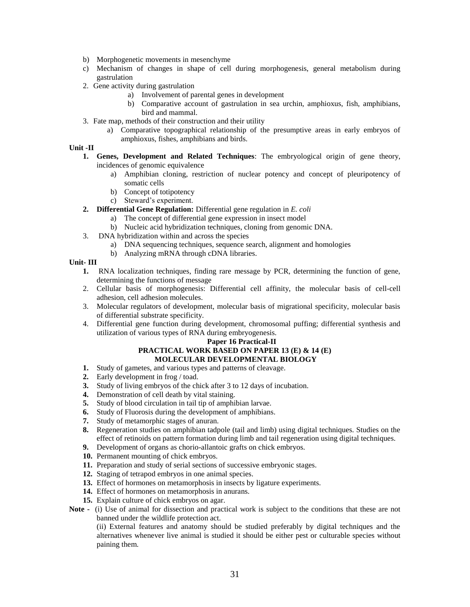- b) Morphogenetic movements in mesenchyme
- c) Mechanism of changes in shape of cell during morphogenesis, general metabolism during gastrulation
- 2. Gene activity during gastrulation
	- a) Involvement of parental genes in development
	- b) Comparative account of gastrulation in sea urchin, amphioxus, fish, amphibians, bird and mammal.
- 3. Fate map, methods of their construction and their utility
	- a) Comparative topographical relationship of the presumptive areas in early embryos of amphioxus, fishes, amphibians and birds.

#### **Unit -II**

- **1. Genes, Development and Related Techniques**: The embryological origin of gene theory, incidences of genomic equivalence
	- a) Amphibian cloning, restriction of nuclear potency and concept of pleuripotency of somatic cells
	- b) Concept of totipotency
	- c) Steward's experiment.
- **2. Differential Gene Regulation:** Differential gene regulation in *E. coli*
	- a) The concept of differential gene expression in insect model
	- b) Nucleic acid hybridization techniques, cloning from genomic DNA.
- 3. DNA hybridization within and across the species
	- a) DNA sequencing techniques, sequence search, alignment and homologies
	- b) Analyzing mRNA through cDNA libraries.

#### **Unit- III**

- **1.** RNA localization techniques, finding rare message by PCR, determining the function of gene, determining the functions of message
- 2. Cellular basis of morphogenesis: Differential cell affinity, the molecular basis of cell-cell adhesion, cell adhesion molecules.
- 3. Molecular regulators of development, molecular basis of migrational specificity, molecular basis of differential substrate specificity.
- 4. Differential gene function during development, chromosomal puffing; differential synthesis and utilization of various types of RNA during embryogenesis.

#### **Paper 16 Practical-II PRACTICAL WORK BASED ON PAPER 13 (E) & 14 (E) MOLECULAR DEVELOPMENTAL BIOLOGY**

- **1.** Study of gametes, and various types and patterns of cleavage.
- **2.** Early development in frog / toad.
- **3.** Study of living embryos of the chick after 3 to 12 days of incubation.
- **4.** Demonstration of cell death by vital staining.
- **5.** Study of blood circulation in tail tip of amphibian larvae.
- **6.** Study of Fluorosis during the development of amphibians.
- **7.** Study of metamorphic stages of anuran.
- **8.** Regeneration studies on amphibian tadpole (tail and limb) using digital techniques. Studies on the effect of retinoids on pattern formation during limb and tail regeneration using digital techniques.
- **9.** Development of organs as chorio-allantoic grafts on chick embryos.
- **10.** Permanent mounting of chick embryos.
- **11.** Preparation and study of serial sections of successive embryonic stages.
- **12.** Staging of tetrapod embryos in one animal species.
- **13.** Effect of hormones on metamorphosis in insects by ligature experiments.
- **14.** Effect of hormones on metamorphosis in anurans.
- **15.** Explain culture of chick embryos on agar.
- **Note -** (i) Use of animal for dissection and practical work is subject to the conditions that these are not banned under the wildlife protection act.

(ii) External features and anatomy should be studied preferably by digital techniques and the alternatives whenever live animal is studied it should be either pest or culturable species without paining them.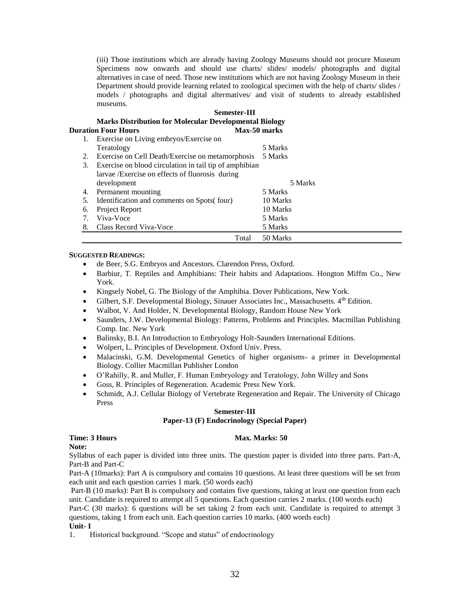(iii) Those institutions which are already having Zoology Museums should not procure Museum Specimens now onwards and should use charts/ slides/ models/ photographs and digital alternatives in case of need. Those new institutions which are not having Zoology Museum in their Department should provide learning related to zoological specimen with the help of charts/ slides / models / photographs and digital altermatives/ and visit of students to already established museums.

# **Semester-III Marks Distribution for Molecular Developmental Biology Duration Four Hours Max-50 marks**

|    | 1. Exercise on Living embryos/Exercise on              |          |
|----|--------------------------------------------------------|----------|
|    | Teratology                                             | 5 Marks  |
| 2. | Exercise on Cell Death/Exercise on metamorphosis       | 5 Marks  |
| 3. | Exercise on blood circulation in tail tip of amphibian |          |
|    | larvae / Exercise on effects of fluorosis during       |          |
|    | development                                            | 5 Marks  |
| 4. | Permanent mounting                                     | 5 Marks  |
| 5. | Identification and comments on Spots (four)            | 10 Marks |
| 6. | Project Report                                         | 10 Marks |
|    | Viva-Voce                                              | 5 Marks  |
| 8. | Class Record Viva-Voce                                 | 5 Marks  |
|    | Total                                                  | 50 Marks |

#### **SUGGESTED READINGS:**

- de Beer, S.G. Embryos and Ancestors. Clarendon Press, Oxford.
- Barbiur, T. Reptiles and Amphibians: Their habits and Adaptations. Hongton Miffm Co., New York.
- Kingsely Nobel, G. The Biology of the Amphibia. Dover Publications, New York.
- Gilbert, S.F. Developmental Biology, Sinauer Associates Inc., Massachusetts. 4th Edition.
- Walbot, V. And Holder, N. Developmental Biology, Random House New York
- Saunders, J.W. Developmental Biology: Patterns, Problems and Principles. Macmillan Publishing Comp. Inc. New York
- Balinsky, B.I. An Introduction to Embryology Holt-Saunders International Editions.
- Wolpert, L. Principles of Development. Oxford Univ. Press.
- Malacinski, G.M. Developmental Genetics of higher organisms- a primer in Developmental Biology. Collier Macmillan Publisher London
- O'Rahilly, R. and Muller, F. Human Embryology and Teratology, John Willey and Sons
- Goss, R. Principles of Regeneration. Academic Press New York.
- Schmidt, A.J. Cellular Biology of Vertebrate Regeneration and Repair. The University of Chicago Press

#### **Semester-III**

#### **Paper-13 (F) Endocrinology (Special Paper)**

#### **Time: 3 Hours Max. Marks: 50**

**Note:**

Syllabus of each paper is divided into three units. The question paper is divided into three parts. Part-A, Part-B and Part-C

Part-A (10marks): Part A is compulsory and contains 10 questions. At least three questions will be set from each unit and each question carries 1 mark. (50 words each)

Part-B (10 marks): Part B is compulsory and contains five questions, taking at least one question from each unit. Candidate is required to attempt all 5 questions. Each question carries 2 marks. (100 words each)

Part-C (30 marks): 6 questions will be set taking 2 from each unit. Candidate is required to attempt 3 questions, taking 1 from each unit. Each question carries 10 marks. (400 words each)

#### **Unit- I**

1. Historical background. "Scope and status" of endocrinology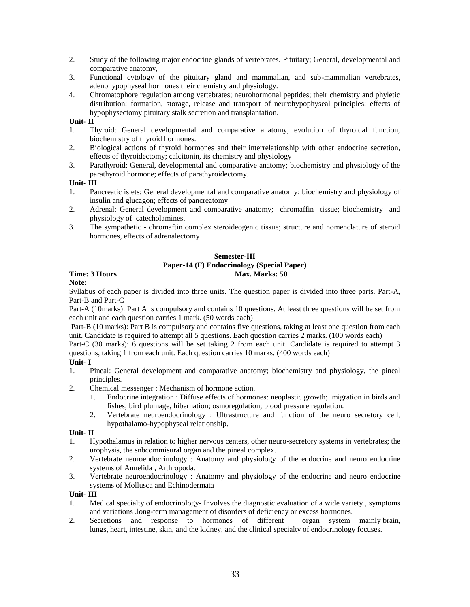- 2. Study of the following major endocrine glands of vertebrates. Pituitary; General, developmental and comparative anatomy,
- 3. Functional cytology of the pituitary gland and mammalian, and sub-mammalian vertebrates, adenohypophyseal hormones their chemistry and physiology.
- 4. Chromatophore regulation among vertebrates; neurohormonal peptides; their chemistry and phyletic distribution; formation, storage, release and transport of neurohypophyseal principles; effects of hypophysectomy pituitary stalk secretion and transplantation.

## **Unit- II**

- 1. Thyroid: General developmental and comparative anatomy, evolution of thyroidal function; biochemistry of thyroid hormones.
- 2. Biological actions of thyroid hormones and their interrelationship with other endocrine secretion, effects of thyroidectomy; calcitonin, its chemistry and physiology
- 3. Parathyroid: General, developmental and comparative anatomy; biochemistry and physiology of the parathyroid hormone; effects of parathyroidectomy.

# **Unit- III**

- 1. Pancreatic islets: General developmental and comparative anatomy; biochemistry and physiology of insulin and glucagon; effects of pancreatomy
- 2. Adrenal: General development and comparative anatomy; chromaffin tissue; biochemistry and physiology of catecholamines.
- 3. The sympathetic chromaftin complex steroideogenic tissue; structure and nomenclature of steroid hormones, effects of adrenalectomy

# **Semester-III**

## **Paper-14 (F) Endocrinology (Special Paper) Time: 3 Hours Max. Marks: 50 Max. Marks: 50 Max. Marks: 50 Max. Marks: 50 Max. Marks: 50 Max. Marks: 50 Max. Marks: 50 Max. Marks: 50 Max. Marks: 50 Max. Marks: 50**  $\mu$

# **Note:**

Syllabus of each paper is divided into three units. The question paper is divided into three parts. Part-A, Part-B and Part-C

Part-A (10marks): Part A is compulsory and contains 10 questions. At least three questions will be set from each unit and each question carries 1 mark. (50 words each)

Part-B (10 marks): Part B is compulsory and contains five questions, taking at least one question from each unit. Candidate is required to attempt all 5 questions. Each question carries 2 marks. (100 words each)

Part-C (30 marks): 6 questions will be set taking 2 from each unit. Candidate is required to attempt 3 questions, taking 1 from each unit. Each question carries 10 marks. (400 words each)

#### **Unit- I**

- 1. Pineal: General development and comparative anatomy; biochemistry and physiology, the pineal principles.
- 2. Chemical messenger : Mechanism of hormone action.
	- 1. Endocrine integration : Diffuse effects of hormones: neoplastic growth; migration in birds and fishes; bird plumage, hibernation; osmoregulation; blood pressure regulation.
	- 2. Vertebrate neuroendocrinology : Ultrastructure and function of the neuro secretory cell, hypothalamo-hypophyseal relationship.

#### **Unit- II**

- 1. Hypothalamus in relation to higher nervous centers, other neuro-secretory systems in vertebrates; the urophysis, the snbcommisural organ and the pineal complex.
- 2. Vertebrate neuroendocrinology : Anatomy and physiology of the endocrine and neuro endocrine systems of Annelida , Arthropoda.
- 3. Vertebrate neuroendocrinology : Anatomy and physiology of the endocrine and neuro endocrine systems of Mollusca and Echinodermata

#### **Unit- III**

- 1. Medical specialty of endocrinology- Involves the diagnostic evaluation of a wide variety , symptoms and variations .long-term management of disorders of deficiency or excess hormones.
- 2. Secretions and response to hormones of different organ system mainly brain, lungs, heart, intestine, skin, and the kidney, and the clinical specialty of endocrinology focuses.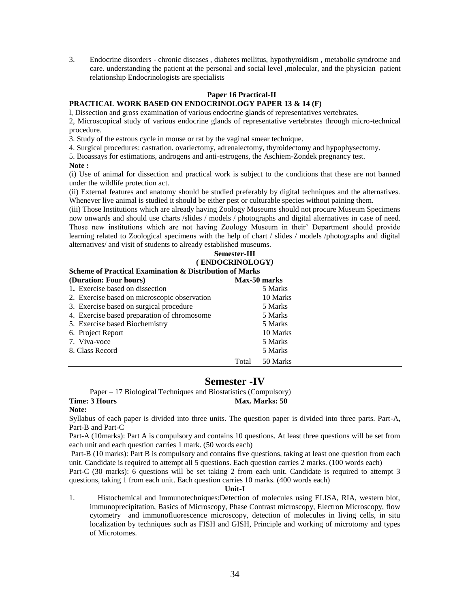3. Endocrine disorders - chronic diseases , diabetes mellitus, hypothyroidism , metabolic syndrome and care. understanding the patient at the personal and social level ,molecular, and the physician–patient relationship Endocrinologists are specialists

#### **Paper 16 Practical-II**

# **PRACTICAL WORK BASED ON ENDOCRINOLOGY PAPER 13 & 14 (F)**

l, Dissection and gross examination of various endocrine glands of representatives vertebrates.

2, Microscopical study of various endocrine glands of representative vertebrates through micro-technical procedure.

3. Study of the estrous cycle in mouse or rat by the vaginal smear technique.

4. Surgical procedures: castration. ovariectomy, adrenalectomy, thyroidectomy and hypophysectomy.

5. Bioassays for estimations, androgens and anti-estrogens, the Aschiem-Zondek pregnancy test.

#### **Note :**

(i) Use of animal for dissection and practical work is subject to the conditions that these are not banned under the wildlife protection act.

(ii) External features and anatomy should be studied preferably by digital techniques and the alternatives. Whenever live animal is studied it should be either pest or culturable species without paining them.

(iii) Those Institutions which are already having Zoology Museums should not procure Museum Specimens now onwards and should use charts /slides / models / photographs and digital alternatives in case of need. Those new institutions which are not having Zoology Museum in their' Department should provide learning related to Zoological specimens with the help of chart / slides / models /photographs and digital alternatives/ and visit of students to already established museums.

#### **Semester-III ( ENDOCRINOLOGY***)*

#### **Scheme of Practical Examination & Distribution of Marks (Duration: Four hours) Max-50 marks** 1. Exercise based on dissection 5 Marks 2. Exercise based on microscopic observation 10 Marks 3. Exercise based on surgical procedure 5 Marks 4. Exercise based preparation of chromosome 5 Marks 5. Exercise based Biochemistry 5 Marks

| 6. Project Report<br>7. Viva-voce |       | 10 Marks<br>5 Marks |
|-----------------------------------|-------|---------------------|
| 8. Class Record                   |       | 5 Marks             |
|                                   | Total | 50 Marks            |

# **Semester -IV**

Paper – 17 Biological Techniques and Biostatistics (Compulsory) **Time: 3 Hours Max. Marks: 50** 

#### **Note:**

Syllabus of each paper is divided into three units. The question paper is divided into three parts. Part-A, Part-B and Part-C

Part-A (10marks): Part A is compulsory and contains 10 questions. At least three questions will be set from each unit and each question carries 1 mark. (50 words each)

Part-B (10 marks): Part B is compulsory and contains five questions, taking at least one question from each unit. Candidate is required to attempt all 5 questions. Each question carries 2 marks. (100 words each)

Part-C (30 marks): 6 questions will be set taking 2 from each unit. Candidate is required to attempt 3 questions, taking 1 from each unit. Each question carries 10 marks. (400 words each)

#### **Unit-I**

1. Histochemical and Immunotechniques:Detection of molecules using ELISA, RIA, western blot, immunoprecipitation, Basics of Microscopy, Phase Contrast microscopy, Electron Microscopy, flow cytometry and immunofluorescence microscopy, detection of molecules in living cells, in situ localization by techniques such as FISH and GISH, Principle and working of microtomy and types of Microtomes.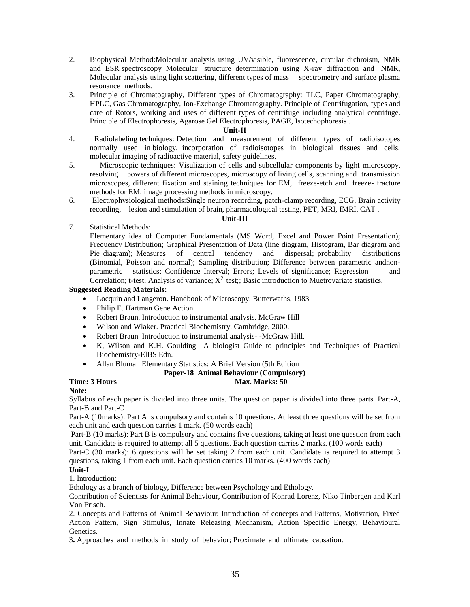- 2. Biophysical Method:Molecular analysis using UV/visible, fluorescence, circular dichroism, NMR and ESR spectroscopy Molecular structure determination using X-ray diffraction and NMR, Molecular analysis using light scattering, different types of mass spectrometry and surface plasma resonance methods.
- 3. Principle of Chromatography, Different types of Chromatography: TLC, Paper Chromatography, HPLC, Gas Chromatography, Ion-Exchange Chromatography. Principle of Centrifugation, types and care of Rotors, working and uses of different types of centrifuge including analytical centrifuge. Principle of Electrophoresis, Agarose Gel Electrophoresis, PAGE, Isotechophoresis .

#### **Unit-II**

- 4. Radiolabeling techniques: Detection and measurement of different types of radioisotopes normally used in biology, incorporation of radioisotopes in biological tissues and cells, molecular imaging of radioactive material, safety guidelines.
- 5. Microscopic techniques: Visulization of cells and subcellular components by light microscopy, resolving powers of different microscopes, microscopy of living cells, scanning and transmission microscopes, different fixation and staining techniques for EM, freeze-etch and freeze- fracture methods for EM, image processing methods in microscopy.
- 6. Electrophysiological methods:Single neuron recording, patch-clamp recording, ECG, Brain activity recording, lesion and stimulation of brain, pharmacological testing, PET, MRI, fMRI, CAT .

#### **Unit-III**

7. Statistical Methods:

Elementary idea of Computer Fundamentals (MS Word, Excel and Power Point Presentation); Frequency Distribution; Graphical Presentation of Data (line diagram, Histogram, Bar diagram and Pie diagram); Measures of central tendency and dispersal; probability distributions (Binomial, Poisson and normal); Sampling distribution; Difference between parametric andnonparametric statistics; Confidence Interval; Errors; Levels of significance; Regression and Correlation; t-test; Analysis of variance;  $X^2$  test;; Basic introduction to Muetrovariate statistics.

#### **Suggested Reading Materials:**

- Locquin and Langeron. Handbook of Microscopy. Butterwaths, 1983
- Philip E. Hartman Gene Action
- Robert Braun. Introduction to instrumental analysis. McGraw Hill
- Wilson and Wlaker. Practical Biochemistry. Cambridge, 2000.
- Robert Braun Introduction to instrumental analysis- -McGraw Hill.
- K, Wilson and K.H. Goulding A biologist Guide to principles and Techniques of Practical Biochemistry-ElBS Edn.
- Allan Bluman Elementary Statistics: A Brief Version (5th Edition

#### **Paper-18 Animal Behaviour (Compulsory)**

**Time: 3 Hours Max. Marks: 50 Max. Marks: 50** 

#### **Note:**

Syllabus of each paper is divided into three units. The question paper is divided into three parts. Part-A, Part-B and Part-C

Part-A (10marks): Part A is compulsory and contains 10 questions. At least three questions will be set from each unit and each question carries 1 mark. (50 words each)

Part-B (10 marks): Part B is compulsory and contains five questions, taking at least one question from each unit. Candidate is required to attempt all 5 questions. Each question carries 2 marks. (100 words each)

Part-C (30 marks): 6 questions will be set taking 2 from each unit. Candidate is required to attempt 3 questions, taking 1 from each unit. Each question carries 10 marks. (400 words each)

# **Unit-I**

1. Introduction:

Ethology as a branch of biology, Difference between Psychology and Ethology.

Contribution of Scientists for Animal Behaviour, Contribution of Konrad Lorenz, Niko Tinbergen and Karl Von Frisch.

2. Concepts and Patterns of Animal Behaviour: Introduction of concepts and Patterns, Motivation, Fixed Action Pattern, Sign Stimulus, Innate Releasing Mechanism, Action Specific Energy, Behavioural Genetics.

3**.** Approaches and methods in study of behavior; Proximate and ultimate causation.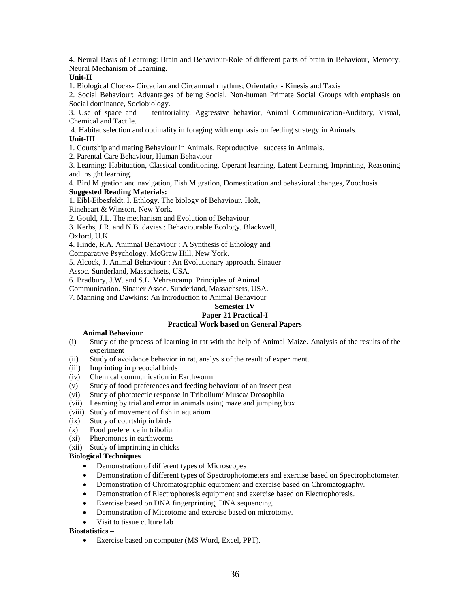4. Neural Basis of Learning: Brain and Behaviour-Role of different parts of brain in Behaviour, Memory, Neural Mechanism of Learning.

#### **Unit-II**

1. Biological Clocks- Circadian and Circannual rhythms; Orientation- Kinesis and Taxis

2. Social Behaviour: Advantages of being Social, Non-human Primate Social Groups with emphasis on Social dominance, Sociobiology.

3. Use of space and territoriality, Aggressive behavior, Animal Communication-Auditory, Visual, Chemical and Tactile.

4. Habitat selection and optimality in foraging with emphasis on feeding strategy in Animals.

#### **Unit-III**

1. Courtship and mating Behaviour in Animals, Reproductive success in Animals.

2. Parental Care Behaviour, Human Behaviour

3. Learning: Habituation, Classical conditioning, Operant learning, Latent Learning, Imprinting, Reasoning and insight learning.

4. Bird Migration and navigation, Fish Migration, Domestication and behavioral changes, Zoochosis **Suggested Reading Materials:**

1. Eibl-Eibesfeldt, I. Ethlogy. The biology of Behaviour. Holt,

Rineheart & Winston, New York.

2. Gould, J.L. The mechanism and Evolution of Behaviour.

3. Kerbs, J.R. and N.B. davies : Behaviourable Ecology. Blackwell,

Oxford, U.K.

4. Hinde, R.A. Animnal Behaviour : A Synthesis of Ethology and

Comparative Psychology. McGraw Hill, New York.

5. Alcock, J. Animal Behaviour : An Evolutionary approach. Sinauer Assoc. Sunderland, Massachsets, USA.

6. Bradbury, J.W. and S.L. Vehrencamp. Principles of Animal

Communication. Sinauer Assoc. Sunderland, Massachsets, USA.

7. Manning and Dawkins: An Introduction to Animal Behaviour

## **Semester IV**

# **Paper 21 Practical-I**

# **Practical Work based on General Papers**

## **Animal Behaviour**

- (i) Study of the process of learning in rat with the help of Animal Maize. Analysis of the results of the experiment
- (ii) Study of avoidance behavior in rat, analysis of the result of experiment.
- (iii) Imprinting in precocial birds
- (iv) Chemical communication in Earthworm
- (v) Study of food preferences and feeding behaviour of an insect pest
- (vi) Study of phototectic response in Tribolium/ Musca/ Drosophila
- (vii) Learning by trial and error in animals using maze and jumping box
- (viii) Study of movement of fish in aquarium
- (ix) Study of courtship in birds
- (x) Food preference in tribolium
- (xi) Pheromones in earthworms
- (xii) Study of imprinting in chicks

## **Biological Techniques**

- Demonstration of different types of Microscopes
- Demonstration of different types of Spectrophotometers and exercise based on Spectrophotometer.
- Demonstration of Chromatographic equipment and exercise based on Chromatography.
- Demonstration of Electrophoresis equipment and exercise based on Electrophoresis.
- Exercise based on DNA fingerprinting, DNA sequencing.
- Demonstration of Microtome and exercise based on microtomy.
- Visit to tissue culture lab

#### **Biostatistics –**

Exercise based on computer (MS Word, Excel, PPT).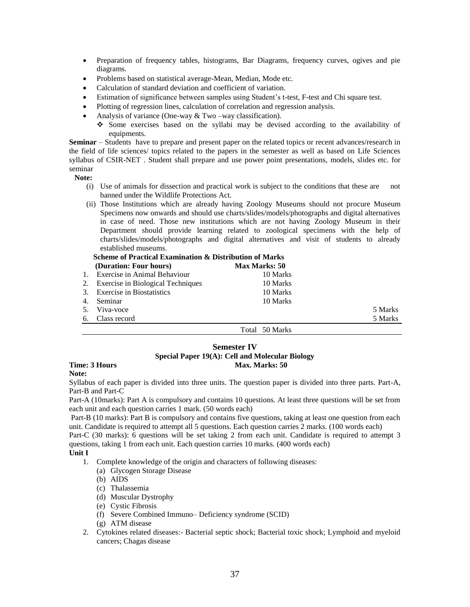- Preparation of frequency tables, histograms, Bar Diagrams, frequency curves, ogives and pie diagrams.
- Problems based on statistical average-Mean, Median, Mode etc.
- Calculation of standard deviation and coefficient of variation.
- Estimation of significance between samples using Student's t-test, F-test and Chi square test.
- Plotting of regression lines, calculation of correlation and regression analysis.
- Analysis of variance (One-way & Two –way classification).
	- $\bullet$  Some exercises based on the syllabi may be devised according to the availability of equipments.

**Seminar** – Students have to prepare and present paper on the related topics or recent advances/research in the field of life sciences/ topics related to the papers in the semester as well as based on Life Sciences syllabus of CSIR-NET . Student shall prepare and use power point presentations, models, slides etc. for seminar

#### **Note:**

- (i) Use of animals for dissection and practical work is subject to the conditions that these are not banned under the Wildlife Protections Act.
- (ii) Those Institutions which are already having Zoology Museums should not procure Museum Specimens now onwards and should use charts/slides/models/photographs and digital alternatives in case of need. Those new institutions which are not having Zoology Museum in their Department should provide learning related to zoological specimens with the help of charts/slides/models/photographs and digital alternatives and visit of students to already established museums.

|    | <b>Scheme of Practical Examination &amp; Distribution of Marks</b> |                      |         |
|----|--------------------------------------------------------------------|----------------------|---------|
|    | (Duration: Four hours)                                             | <b>Max Marks: 50</b> |         |
|    | 1. Exercise in Animal Behaviour                                    | 10 Marks             |         |
|    | 2. Exercise in Biological Techniques                               | 10 Marks             |         |
|    | 3. Exercise in Biostatistics                                       | 10 Marks             |         |
| 4. | Seminar                                                            | 10 Marks             |         |
| 5. | Viva-voce                                                          |                      | 5 Marks |
| 6. | Class record                                                       |                      | 5 Marks |
|    |                                                                    | Total 50 Marks       |         |

#### **Semester IV**

#### **Special Paper 19(A): Cell and Molecular Biology Time: 3 Hours Max. Marks: 50 Max. Marks: 50**

# **Note:**

Syllabus of each paper is divided into three units. The question paper is divided into three parts. Part-A, Part-B and Part-C

Part-A (10marks): Part A is compulsory and contains 10 questions. At least three questions will be set from each unit and each question carries 1 mark. (50 words each)

Part-B (10 marks): Part B is compulsory and contains five questions, taking at least one question from each unit. Candidate is required to attempt all 5 questions. Each question carries 2 marks. (100 words each)

Part-C (30 marks): 6 questions will be set taking 2 from each unit. Candidate is required to attempt 3 questions, taking 1 from each unit. Each question carries 10 marks. (400 words each)

#### **Unit I**

- 1. Complete knowledge of the origin and characters of following diseases:
	- (a) Glycogen Storage Disease
	- (b) AIDS
	- (c) Thalassemia
	- (d) Muscular Dystrophy
	- (e) Cystic Fibrosis
	- (f) Severe Combined Immuno– Deficiency syndrome (SCID)
	- (g) ATM disease
- 2. Cytokines related diseases:- Bacterial septic shock; Bacterial toxic shock; Lymphoid and myeloid cancers; Chagas disease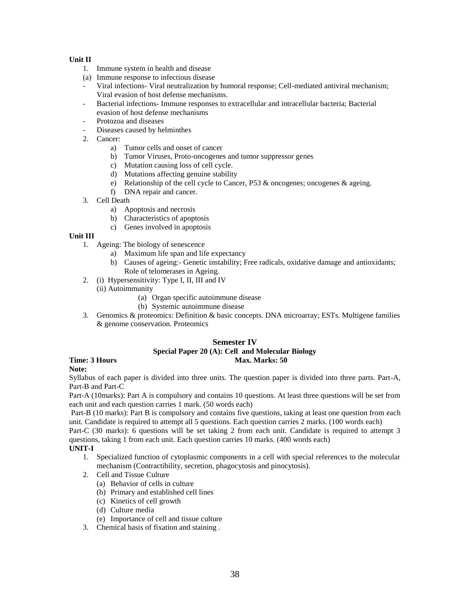# **Unit II**

- 1. Immune system in health and disease
- (a) Immune response to infectious disease
- Viral infections- Viral neutralization by humoral response; Cell-mediated antiviral mechanism; Viral evasion of host defense mechanisms.
- Bacterial infections- Immune responses to extracellular and intracellular bacteria; Bacterial evasion of host defense mechanisms
- Protozoa and diseases
- Diseases caused by helminthes
- 2. Cancer:
	- a) Tumor cells and onset of cancer
	- b) Tumor Viruses, Proto-oncogenes and tumor suppressor genes
	- c) Mutation causing loss of cell cycle.
	- d) Mutations affecting genuine stability
	- e) Relationship of the cell cycle to Cancer, P53 & oncogenes; oncogenes & ageing.
	- f) DNA repair and cancer.
- 3. Cell Death
	- a) Apoptosis and necrosis
	- b) Characteristics of apoptosis
	- c) Genes involved in apoptosis

# **Unit III**

- 1. Ageing: The biology of senescence
	- a) Maximum life span and life expectancy
	- b) Causes of ageing:- Genetic instability; Free radicals, oxidative damage and antioxidants; Role of telomerases in Ageing.
- 2. (i) Hypersensitivity: Type I, II, III and IV
	- (ii) Autoimmunity
		- (a) Organ specific autoimmune disease
		- (b) Systemic autoimmune disease
- 3. Genomics & proteomics: Definition & basic concepts. DNA microarray; ESTs. Multigene families & genome conservation. Proteomics

#### **Semester IV**

# **Special Paper 20 (A): Cell and Molecular Biology**

# **Time: 3 Hours Max. Marks: 50 Max. Marks: 50**

#### **Note:**

Syllabus of each paper is divided into three units. The question paper is divided into three parts. Part-A, Part-B and Part-C

Part-A (10marks): Part A is compulsory and contains 10 questions. At least three questions will be set from each unit and each question carries 1 mark. (50 words each)

Part-B (10 marks): Part B is compulsory and contains five questions, taking at least one question from each unit. Candidate is required to attempt all 5 questions. Each question carries 2 marks. (100 words each)

Part-C (30 marks): 6 questions will be set taking 2 from each unit. Candidate is required to attempt 3 questions, taking 1 from each unit. Each question carries 10 marks. (400 words each)

**UNIT-I**

- 1. Specialized function of cytoplasmic components in a cell with special references to the molecular mechanism (Contractibility, secretion, phagocytosis and pinocytosis).
- 2. Cell and Tissue Culture
	- (a) Behavior of cells in culture
	- (b) Primary and established cell lines
	- (c) Kinetics of cell growth
	- (d) Culture media
	- (e) Importance of cell and tissue culture
- 3. Chemical basis of fixation and staining .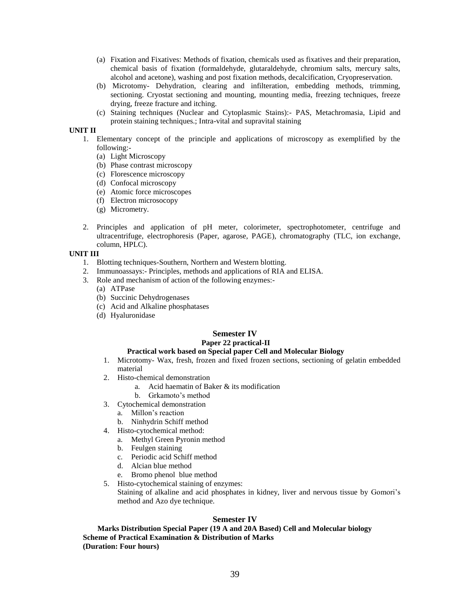- (a) Fixation and Fixatives: Methods of fixation, chemicals used as fixatives and their preparation, chemical basis of fixation (formaldehyde, glutaraldehyde, chromium salts, mercury salts, alcohol and acetone), washing and post fixation methods, decalcification, Cryopreservation.
- (b) Microtomy- Dehydration, clearing and infilteration, embedding methods, trimming, sectioning. Cryostat sectioning and mounting, mounting media, freezing techniques, freeze drying, freeze fracture and itching.
- (c) Staining techniques (Nuclear and Cytoplasmic Stains):- PAS, Metachromasia, Lipid and protein staining techniques.; Intra-vital and supravital staining

#### **UNIT II**

- 1. Elementary concept of the principle and applications of microscopy as exemplified by the following:-
	- (a) Light Microscopy
	- (b) Phase contrast microscopy
	- (c) Florescence microscopy
	- (d) Confocal microscopy
	- (e) Atomic force microscopes
	- (f) Electron microsocopy
	- (g) Micrometry.
- 2. Principles and application of pH meter, colorimeter, spectrophotometer, centrifuge and ultracentrifuge, electrophoresis (Paper, agarose, PAGE), chromatography (TLC, ion exchange, column, HPLC).

#### **UNIT III**

- 1. Blotting techniques-Southern, Northern and Western blotting.
- 2. Immunoassays:- Principles, methods and applications of RIA and ELISA.
- 3. Role and mechanism of action of the following enzymes:-
	- (a) ATPase
	- (b) Succinic Dehydrogenases
	- (c) Acid and Alkaline phosphatases
	- (d) Hyaluronidase

#### **Semester IV Paper 22 practical-II**

#### **Practical work based on Special paper Cell and Molecular Biology**

- 1. Microtomy- Wax, fresh, frozen and fixed frozen sections, sectioning of gelatin embedded material
- 2. Histo-chemical demonstration
	- a. Acid haematin of Baker & its modification
	- b. Grkamoto's method
- 3. Cytochemical demonstration
	- a. Millon's reaction
	- b. Ninhydrin Schiff method
- 4. Histo-cytochemical method:
	- a. Methyl Green Pyronin method
	- b. Feulgen staining
	- c. Periodic acid Schiff method
	- d. Alcian blue method
	- e. Bromo phenol blue method
- 5. Histo-cytochemical staining of enzymes:

Staining of alkaline and acid phosphates in kidney, liver and nervous tissue by Gomori's method and Azo dye technique.

#### **Semester IV**

**Marks Distribution Special Paper (19 A and 20A Based) Cell and Molecular biology Scheme of Practical Examination & Distribution of Marks (Duration: Four hours)**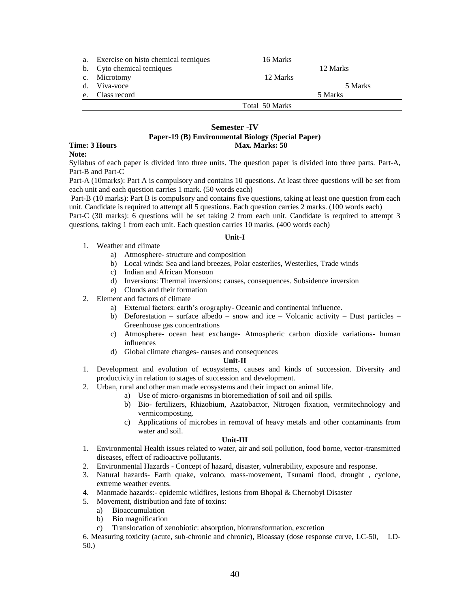| a. | Exercise on histo chemical tecniques | 16 Marks       |          |
|----|--------------------------------------|----------------|----------|
|    | b. Cyto chemical tecniques           |                | 12 Marks |
|    | c. Microtomy                         | 12 Marks       |          |
| d. | Viva-voce                            |                | 5 Marks  |
| e. | Class record                         |                | 5 Marks  |
|    |                                      | Total 50 Marks |          |

#### **Semester -IV Paper-19 (B) Environmental Biology (Special Paper) Time: 3 Hours Max. Marks: 50**

#### **Note:**

Syllabus of each paper is divided into three units. The question paper is divided into three parts. Part-A, Part-B and Part-C

Part-A (10marks): Part A is compulsory and contains 10 questions. At least three questions will be set from each unit and each question carries 1 mark. (50 words each)

Part-B (10 marks): Part B is compulsory and contains five questions, taking at least one question from each unit. Candidate is required to attempt all 5 questions. Each question carries 2 marks. (100 words each)

Part-C (30 marks): 6 questions will be set taking 2 from each unit. Candidate is required to attempt 3 questions, taking 1 from each unit. Each question carries 10 marks. (400 words each)

#### **Unit-I**

- 1. Weather and climate
	- a) Atmosphere- structure and composition
	- b) Local winds: Sea and land breezes, Polar easterlies, Westerlies, Trade winds
	- c) Indian and African Monsoon
	- d) Inversions: Thermal inversions: causes, consequences. Subsidence inversion
	- e) Clouds and their formation
- 2. Element and factors of climate
	- a) External factors: earth's orography- Oceanic and continental influence.
	- b) Deforestation surface albedo snow and ice Volcanic activity Dust particles Greenhouse gas concentrations
	- c) Atmosphere- ocean heat exchange- Atmospheric carbon dioxide variations- human influences
	- d) Global climate changes- causes and consequences

#### **Unit-II**

- 1. Development and evolution of ecosystems, causes and kinds of succession. Diversity and productivity in relation to stages of succession and development.
- 2. Urban, rural and other man made ecosystems and their impact on animal life.
	- a) Use of micro-organisms in bioremediation of soil and oil spills.
		- b) Bio- fertilizers, Rhizobium, Azatobactor, Nitrogen fixation, vermitechnology and vermicomposting.
		- c) Applications of microbes in removal of heavy metals and other contaminants from water and soil.

#### **Unit-III**

- 1. Environmental Health issues related to water, air and soil pollution, food borne, vector-transmitted diseases, effect of radioactive pollutants.
- 2. Environmental Hazards Concept of hazard, disaster, vulnerability, exposure and response.
- 3. Natural hazards- Earth quake, volcano, mass-movement, Tsunami flood, drought , cyclone, extreme weather events.
- 4. Manmade hazards:- epidemic wildfires, lesions from Bhopal & Chernobyl Disaster
- 5. Movement, distribution and fate of toxins:
	- a) Bioaccumulation
	- b) Bio magnification
	- c) Translocation of xenobiotic: absorption, biotransformation, excretion

6. Measuring toxicity (acute, sub-chronic and chronic), Bioassay (dose response curve, LC-50, LD-50.)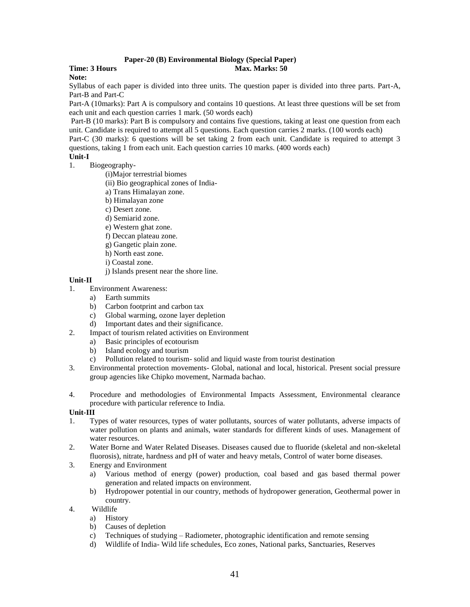#### **Paper-20 (B) Environmental Biology (Special Paper) Time: 3 Hours Max. Marks: 50 Max. Marks: 50 Max. Marks: 50 Max. Marks: 50 Max. Marks: 50 Max. Marks: 50 Max. Marks: 50 Max. Marks: 50 Max. Marks: 50 Max. Marks: 50**  $\mu$

**Note:**

Syllabus of each paper is divided into three units. The question paper is divided into three parts. Part-A, Part-B and Part-C

Part-A (10marks): Part A is compulsory and contains 10 questions. At least three questions will be set from each unit and each question carries 1 mark. (50 words each)

Part-B (10 marks): Part B is compulsory and contains five questions, taking at least one question from each unit. Candidate is required to attempt all 5 questions. Each question carries 2 marks. (100 words each)

Part-C (30 marks): 6 questions will be set taking 2 from each unit. Candidate is required to attempt 3 questions, taking 1 from each unit. Each question carries 10 marks. (400 words each)

# **Unit-I**

- 1. Biogeography-
	- (i)Major terrestrial biomes
	- (ii) Bio geographical zones of India-
	- a) Trans Himalayan zone.
	- b) Himalayan zone
	- c) Desert zone.
	- d) Semiarid zone.
	- e) Western ghat zone.
	- f) Deccan plateau zone.
	- g) Gangetic plain zone.
	- h) North east zone.
	- i) Coastal zone.
	- j) Islands present near the shore line.

#### **Unit-II**

- 1. Environment Awareness:
	- a) Earth summits
	- b) Carbon footprint and carbon tax
	- c) Global warming, ozone layer depletion
	- d) Important dates and their significance.
- 2. Impact of tourism related activities on Environment
	- a) Basic principles of ecotourism
	- b) Island ecology and tourism
	- c) Pollution related to tourism- solid and liquid waste from tourist destination
- 3. Environmental protection movements- Global, national and local, historical. Present social pressure group agencies like Chipko movement, Narmada bachao.
- 4. Procedure and methodologies of Environmental Impacts Assessment, Environmental clearance procedure with particular reference to India.

#### **Unit-III**

- 1. Types of water resources, types of water pollutants, sources of water pollutants, adverse impacts of water pollution on plants and animals, water standards for different kinds of uses. Management of water resources.
- 2. Water Borne and Water Related Diseases. Diseases caused due to fluoride (skeletal and non-skeletal fluorosis), nitrate, hardness and pH of water and heavy metals, Control of water borne diseases.
- 3. Energy and Environment
	- a) Various method of energy (power) production, coal based and gas based thermal power generation and related impacts on environment.
	- b) Hydropower potential in our country, methods of hydropower generation, Geothermal power in country.
- 4. Wildlife
	- a) History
	- b) Causes of depletion
	- c) Techniques of studying Radiometer, photographic identification and remote sensing
	- d) Wildlife of India- Wild life schedules, Eco zones, National parks, Sanctuaries, Reserves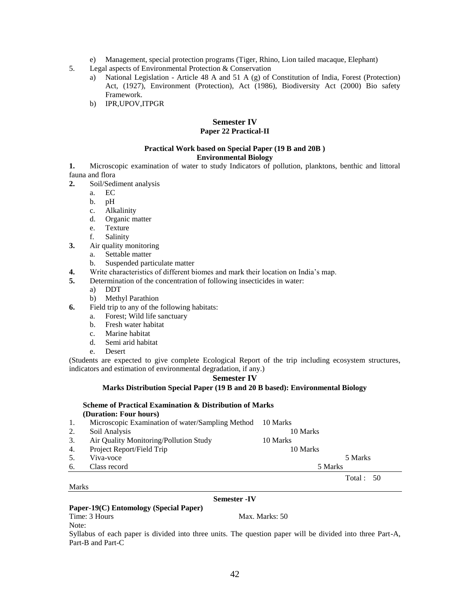- e) Management, special protection programs (Tiger, Rhino, Lion tailed macaque, Elephant)
- 5. Legal aspects of Environmental Protection & Conservation
	- a) National Legislation Article 48 A and 51 A (g) of Constitution of India, Forest (Protection) Act, (1927), Environment (Protection), Act (1986), Biodiversity Act (2000) Bio safety Framework.
	- b) IPR,UPOV,ITPGR

# **Semester IV**

# **Paper 22 Practical-II**

#### **Practical Work based on Special Paper (19 B and 20B ) Environmental Biology**

- **1.** Microscopic examination of water to study Indicators of pollution, planktons, benthic and littoral fauna and flora
- **2.** Soil/Sediment analysis
	- a. EC
	- b. pH
	- c. Alkalinity
	- d. Organic matter
	- e. Texture
	- f. Salinity
- **3.** Air quality monitoring
	- a. Settable matter
	- b. Suspended particulate matter
- **4.** Write characteristics of different biomes and mark their location on India's map.
- **5.** Determination of the concentration of following insecticides in water:
	- a) DDT
	- b) Methyl Parathion
- **6.** Field trip to any of the following habitats:
	- a. Forest; Wild life sanctuary
	- b. Fresh water habitat
	- c. Marine habitat
	- d. Semi arid habitat
	- e. Desert

(Students are expected to give complete Ecological Report of the trip including ecosystem structures, indicators and estimation of environmental degradation, if any.)

#### **Semester IV**

#### **Marks Distribution Special Paper (19 B and 20 B based): Environmental Biology**

#### **Scheme of Practical Examination & Distribution of Marks (Duration: Four hours)**

| 1. | Microscopic Examination of water/Sampling Method | 10 Marks  |
|----|--------------------------------------------------|-----------|
| 2. | Soil Analysis                                    | 10 Marks  |
| 3. | Air Quality Monitoring/Pollution Study           | 10 Marks  |
| 4. | Project Report/Field Trip                        | 10 Marks  |
| 5. | Viva-voce                                        | 5 Marks   |
| 6. | Class record                                     | 5 Marks   |
|    |                                                  | Total: 50 |

#### Marks

#### **Semester -IV**

#### **Paper-19(C) Entomology (Special Paper)**

Time: 3 Hours Max. Marks: 50 Note:

Syllabus of each paper is divided into three units. The question paper will be divided into three Part-A, Part-B and Part-C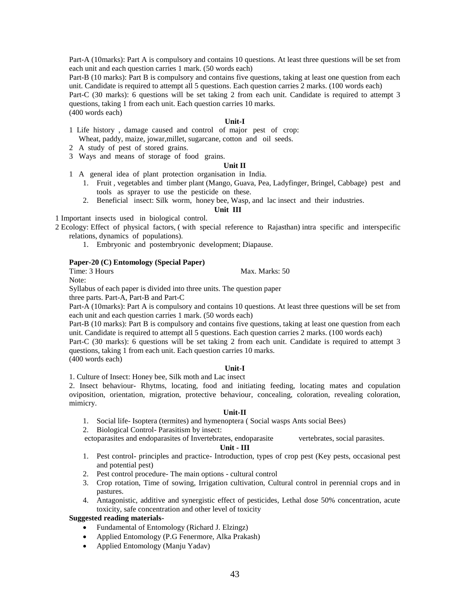Part-A (10marks): Part A is compulsory and contains 10 questions. At least three questions will be set from each unit and each question carries 1 mark. (50 words each)

Part-B (10 marks): Part B is compulsory and contains five questions, taking at least one question from each unit. Candidate is required to attempt all 5 questions. Each question carries 2 marks. (100 words each) Part-C (30 marks): 6 questions will be set taking 2 from each unit. Candidate is required to attempt 3 questions, taking 1 from each unit. Each question carries 10 marks. (400 words each)

#### **Unit-I**

- 1 Life history , damage caused and control of major pest of crop: Wheat, paddy, maize, jowar,millet, sugarcane, cotton and oil seeds.
- 2 A study of pest of stored grains.
- 3 Ways and means of storage of food grains.

#### **Unit II**

- 1 A general idea of plant protection organisation in India.
	- 1. Fruit , vegetables and timber plant (Mango, Guava, Pea, Ladyfinger, Bringel, Cabbage) pest and tools as sprayer to use the pesticide on these.
	- 2. Beneficial insect: Silk worm, honey bee, Wasp, and lac insect and their industries.

#### **Unit III**

1 Important insects used in biological control.

2 Ecology: Effect of physical factors, ( with special reference to Rajasthan) intra specific and interspecific relations, dynamics of populations).

1. Embryonic and postembryonic development; Diapause.

#### **Paper-20 (C) Entomology (Special Paper)**

Time: 3 Hours Max. Marks: 50

Note:

Syllabus of each paper is divided into three units. The question paper three parts. Part-A, Part-B and Part-C

Part-A (10marks): Part A is compulsory and contains 10 questions. At least three questions will be set from each unit and each question carries 1 mark. (50 words each)

Part-B (10 marks): Part B is compulsory and contains five questions, taking at least one question from each unit. Candidate is required to attempt all 5 questions. Each question carries 2 marks. (100 words each)

Part-C (30 marks): 6 questions will be set taking 2 from each unit. Candidate is required to attempt 3 questions, taking 1 from each unit. Each question carries 10 marks. (400 words each)

#### **Unit-I**

1. Culture of Insect: Honey bee, Silk moth and Lac insect

2. Insect behaviour- Rhytms, locating, food and initiating feeding, locating mates and copulation oviposition, orientation, migration, protective behaviour, concealing, coloration, revealing coloration, mimicry.

#### **Unit-II**

- 1. Social life- Isoptera (termites) and hymenoptera ( Social wasps Ants social Bees)
- 2. Biological Control- Parasitism by insect:

ectoparasites and endoparasites of Invertebrates, endoparasite vertebrates, social parasites.

#### **Unit - III**

- 1. Pest control- principles and practice- Introduction, types of crop pest (Key pests, occasional pest and potential pest)
- 2. Pest control procedure- The main options cultural control
- 3. Crop rotation, Time of sowing, Irrigation cultivation, Cultural control in perennial crops and in pastures.
- 4. Antagonistic, additive and synergistic effect of pesticides, Lethal dose 50% concentration, acute toxicity, safe concentration and other level of toxicity

#### **Suggested reading materials-**

- Fundamental of Entomology (Richard J. Elzingz)
- Applied Entomology (P.G Fenermore, Alka Prakash)
- Applied Entomology (Manju Yadav)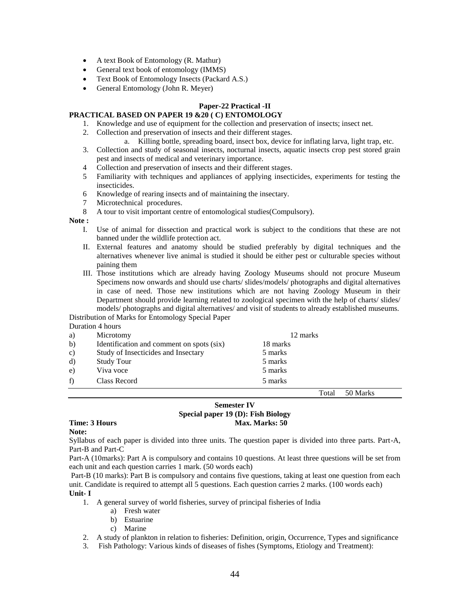- A text Book of Entomology (R. Mathur)
- General text book of entomology (IMMS)
- Text Book of Entomology Insects (Packard A.S.)
- General Entomology (John R. Meyer)

# **Paper-22 Practical -II**

# **PRACTICAL BASED ON PAPER 19 &20 ( C) ENTOMOLOGY**

- 1. Knowledge and use of equipment for the collection and preservation of insects; insect net.
	- 2. Collection and preservation of insects and their different stages.
		- a. Killing bottle, spreading board, insect box, device for inflating larva, light trap, etc.
	- 3. Collection and study of seasonal insects, nocturnal insects, aquatic insects crop pest stored grain pest and insects of medical and veterinary importance.
	- 4 Collection and preservation of insects and their different stages.
	- 5 Familiarity with techniques and appliances of applying insecticides, experiments for testing the insecticides.
	- 6 Knowledge of rearing insects and of maintaining the insectary.
	- 7 Microtechnical procedures.
	- 8 A tour to visit important centre of entomological studies(Compulsory).

#### **Note :**

- I. Use of animal for dissection and practical work is subject to the conditions that these are not banned under the wildlife protection act.
- II. External features and anatomy should be studied preferably by digital techniques and the alternatives whenever live animal is studied it should be either pest or culturable species without paining them
- III. Those institutions which are already having Zoology Museums should not procure Museum Specimens now onwards and should use charts/ slides/models/ photographs and digital alternatives in case of need. Those new institutions which are not having Zoology Museum in their Department should provide learning related to zoological specimen with the help of charts/ slides/ models/ photographs and digital alternatives/ and visit of students to already established museums.

#### Distribution of Marks for Entomology Special Paper Duration 4 hours

|    | $\mu$ uration + notri s                   |          |
|----|-------------------------------------------|----------|
| a) | Microtomy                                 | 12 marks |
| b) | Identification and comment on spots (six) | 18 marks |
| c) | Study of Insecticides and Insectary       | 5 marks  |
| d) | <b>Study Tour</b>                         | 5 marks  |
| e) | Viva voce                                 | 5 marks  |
| f) | Class Record                              | 5 marks  |

Total 50 Marks

#### **Semester IV Special paper 19 (D): Fish Biology Time: 3 Hours Max. Marks: 50**

# **Note:**

Syllabus of each paper is divided into three units. The question paper is divided into three parts. Part-A, Part-B and Part-C

Part-A (10marks): Part A is compulsory and contains 10 questions. At least three questions will be set from each unit and each question carries 1 mark. (50 words each)

Part-B (10 marks): Part B is compulsory and contains five questions, taking at least one question from each unit. Candidate is required to attempt all 5 questions. Each question carries 2 marks. (100 words each)

#### **Unit- I**

- 1. A general survey of world fisheries, survey of principal fisheries of India
	- a) Fresh water
	- b) Estuarine
	- c) Marine
- 2. A study of plankton in relation to fisheries: Definition, origin, Occurrence, Types and significance
- 3. Fish Pathology: Various kinds of diseases of fishes (Symptoms, Etiology and Treatment):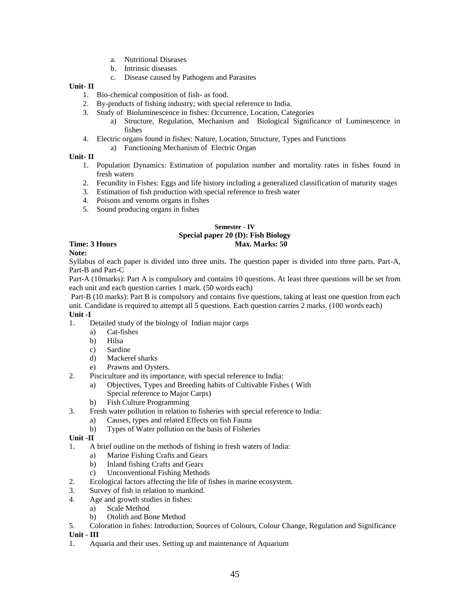- a. Nutritional Diseases
- b. Intrinsic diseases
- c. Disease caused by Pathogens and Parasites

# **Unit- II**

- 1. Bio-chemical composition of fish- as food.
- 2. By-products of fishing industry; with special reference to India.
- 3. Study of Bioluminescence in fishes: Occurrence, Location, Categories
	- a) Structure, Regulation, Mechanism and Biological Significance of Luminescence in fishes
- 4. Electric organs found in fishes: Nature, Location, Structure, Types and Functions
	- a) Functioning Mechanism of Electric Organ

# **Unit- II**

- 1. Population Dynamics: Estimation of population number and mortality rates in fishes found in fresh waters
- 2. Fecundity in Fishes: Eggs and life history including a generalized classification of maturity stages
- 3. Estimation of fish production with special reference to fresh water
- 4. Poisons and venoms organs in fishes
- 5. Sound producing organs in fishes

#### **Semester - IV Special paper 20 (D): Fish Biology Time: 3 Hours Max. Marks: 50 Max. Marks: 50 Max. Marks: 50 Max. Marks: 50 Max. Marks: 50 Max. Marks: 50 Max. Marks: 50 Max. Marks: 50 Max. Marks: 50 Max. Marks: 50 Max. Marks: 50 Max. Marks: 50**  $\mu$

**Note:**

Syllabus of each paper is divided into three units. The question paper is divided into three parts. Part-A, Part-B and Part-C

Part-A (10marks): Part A is compulsory and contains 10 questions. At least three questions will be set from each unit and each question carries 1 mark. (50 words each)

Part-B (10 marks): Part B is compulsory and contains five questions, taking at least one question from each unit. Candidate is required to attempt all 5 questions. Each question carries 2 marks. (100 words each) **Unit -I**

- 1. Detailed study of the biology of Indian major carps
	- a) Cat-fishes
	- b) Hilsa
	- c) Sardine
	- d) Mackerel sharks
	- e) Prawns and Oysters.
- 2. Pisciculture and its importance, with special reference to India:
	- a) Objectives, Types and Breeding habits of Cultivable Fishes ( With Special reference to Major Carps)
	- b) Fish Culture Programming
- 3. Fresh water pollution in relation to fisheries with special reference to India:
	- a) Causes, types and related Effects on fish Fauna
	- b) Types of Water pollution on the basis of Fisheries

# **Unit -II**

- 1. A brief outline on the methods of fishing in fresh waters of India:
	- a) Marine Fishing Crafts and Gears
	- b) Inland fishing Crafts and Gears
	- c) Unconventional Fishing Methods
- 2. Ecological factors affecting the life of fishes in marine ecosystem.
- 3. Survey of fish in relation to mankind.
- 4. Age and growth studies in fishes:
	- a) Scale Method
	- b) Otolith and Bone Method
- 5. Coloration in fishes: Introduction, Sources of Colours, Colour Change, Regulation and Significance

**Unit - III**

1. Aquaria and their uses. Setting up and maintenance of Aquarium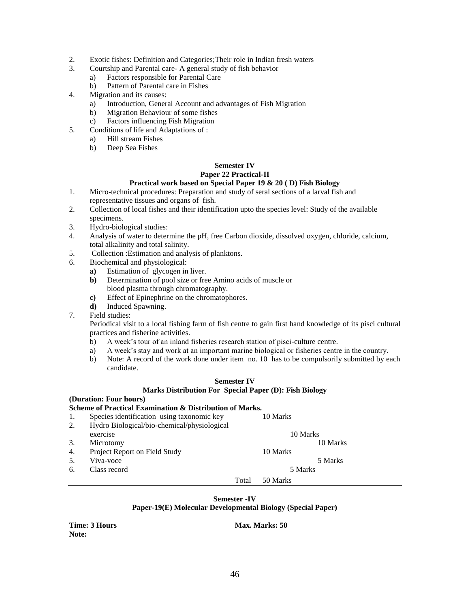- 2. Exotic fishes: Definition and Categories;Their role in Indian fresh waters
- 3. Courtship and Parental care- A general study of fish behavior
	- a) Factors responsible for Parental Care
	- b) Pattern of Parental care in Fishes
- 4. Migration and its causes:
	- a) Introduction, General Account and advantages of Fish Migration
	- b) Migration Behaviour of some fishes
	- c) Factors influencing Fish Migration
- 5. Conditions of life and Adaptations of :
	- a) Hill stream Fishes
	- b) Deep Sea Fishes

# **Semester IV**

#### **Paper 22 Practical-II Practical work based on Special Paper 19 & 20 ( D) Fish Biology**

- 1. Micro-technical procedures: Preparation and study of seral sections of a larval fish and representative tissues and organs of fish.
- 2. Collection of local fishes and their identification upto the species level: Study of the available specimens.
- 3. Hydro-biological studies:
- 4. Analysis of water to determine the pH, free Carbon dioxide, dissolved oxygen, chloride, calcium, total alkalinity and total salinity.
- 5. Collection :Estimation and analysis of planktons.
- 6. Biochemical and physiological:
	- **a)** Estimation of glycogen in liver.
	- **b)** Determination of pool size or free Amino acids of muscle or blood plasma through chromatography.
	- **c)** Effect of Epinephrine on the chromatophores.
	- **d)** Induced Spawning.
- 7. Field studies:

Periodical visit to a local fishing farm of fish centre to gain first hand knowledge of its pisci cultural practices and fisherine activities.

- b) A week's tour of an inland fisheries research station of pisci-culture centre.
- a) A week's stay and work at an important marine biological or fisheries centre in the country.
- b) Note: A record of the work done under item no. 10 has to be compulsorily submitted by each candidate.

# **Semester IV Marks Distribution For Special Paper (D): Fish Biology**

## **(Duration: Four hours)**

#### **Scheme of Practical Examination & Distribution of Marks.**

|    | Species identification using taxonomic key  |       | 10 Marks |
|----|---------------------------------------------|-------|----------|
| 2. | Hydro Biological/bio-chemical/physiological |       |          |
|    | exercise                                    |       | 10 Marks |
| 3. | Microtomy                                   |       | 10 Marks |
| 4. | Project Report on Field Study               |       | 10 Marks |
|    | Viva-voce                                   |       | 5 Marks  |
| 6. | Class record                                |       | 5 Marks  |
|    |                                             | Total | 50 Marks |

#### **Semester -IV**

#### **Paper-19(E) Molecular Developmental Biology (Special Paper)**

**Note:**

**Time: 3 Hours Max. Marks: 50 Max. Marks: 50 Max. Marks: 50 Max. Marks: 50 Max. Marks: 50 Max. Marks: 50 Max. Marks: 50 Max. Marks: 50 Max. Marks: 50 Max. Marks: 50 Max. Marks: 50 Max. Marks: 50**  $\mu$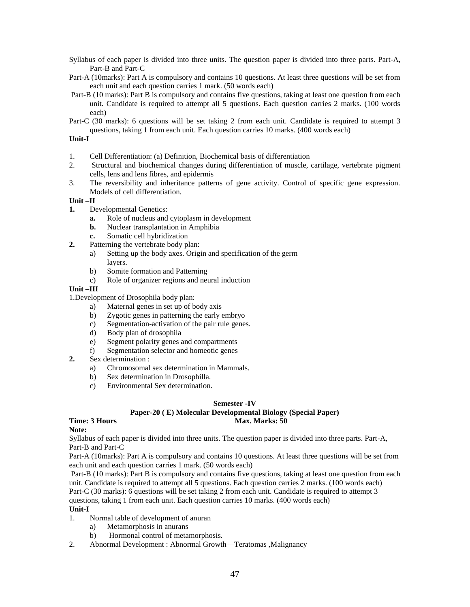- Syllabus of each paper is divided into three units. The question paper is divided into three parts. Part-A, Part-B and Part-C
- Part-A (10marks): Part A is compulsory and contains 10 questions. At least three questions will be set from each unit and each question carries 1 mark. (50 words each)
- Part-B (10 marks): Part B is compulsory and contains five questions, taking at least one question from each unit. Candidate is required to attempt all 5 questions. Each question carries 2 marks. (100 words each)
- Part-C (30 marks): 6 questions will be set taking 2 from each unit. Candidate is required to attempt 3 questions, taking 1 from each unit. Each question carries 10 marks. (400 words each)

#### **Unit-I**

- 1. Cell Differentiation: (a) Definition, Biochemical basis of differentiation
- 2. Structural and biochemical changes during differentiation of muscle, cartilage, vertebrate pigment cells, lens and lens fibres, and epidermis
- 3. The reversibility and inheritance patterns of gene activity. Control of specific gene expression. Models of cell differentiation.

#### **Unit –II**

- **1.** Developmental Genetics:
	- **a.** Role of nucleus and cytoplasm in development
	- **b.** Nuclear transplantation in Amphibia
	- **c.** Somatic cell hybridization
- **2.** Patterning the vertebrate body plan:
	- a) Setting up the body axes. Origin and specification of the germ layers.
	- b) Somite formation and Patterning
	- c) Role of organizer regions and neural induction

#### **Unit –III**

1.Development of Drosophila body plan:

- a) Maternal genes in set up of body axis
- b) Zygotic genes in patterning the early embryo
- c) Segmentation-activation of the pair rule genes.
- d) Body plan of drosophila
- e) Segment polarity genes and compartments
- f) Segmentation selector and homeotic genes
- **2.** Sex determination :
	- a) Chromosomal sex determination in Mammals.
	- b) Sex determination in Drosophilla.
	- c) Environmental Sex determination.

#### **Semester -IV**

#### **Paper-20 ( E) Molecular Developmental Biology (Special Paper) Time: 3 Hours Max. Marks: 50 Max. Marks: 50 Max. Marks: 50 Max. Marks: 50 Max. Marks: 50 Max. Marks: 50 Max. Marks: 50 Max. Marks: 50 Max. Marks: 50 Max. Marks: 50**  $\mu$

#### **Note:**

Syllabus of each paper is divided into three units. The question paper is divided into three parts. Part-A, Part-B and Part-C

Part-A (10marks): Part A is compulsory and contains 10 questions. At least three questions will be set from each unit and each question carries 1 mark. (50 words each)

Part-B (10 marks): Part B is compulsory and contains five questions, taking at least one question from each unit. Candidate is required to attempt all 5 questions. Each question carries 2 marks. (100 words each) Part-C (30 marks): 6 questions will be set taking 2 from each unit. Candidate is required to attempt 3 questions, taking 1 from each unit. Each question carries 10 marks. (400 words each)

#### **Unit-I**

- 1. Normal table of development of anuran
	- a) Metamorphosis in anurans
	- b) Hormonal control of metamorphosis.
- 2. Abnormal Development : Abnormal Growth—Teratomas ,Malignancy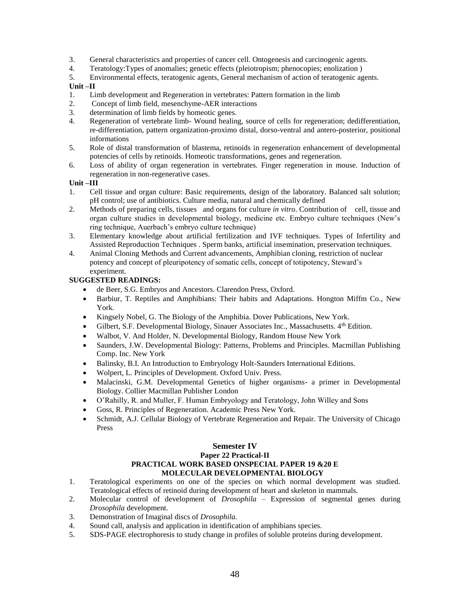- 3. General characteristics and properties of cancer cell. Ontogenesis and carcinogenic agents.
- 4. Teratology:Types of anomalies; genetic effects (pleiotropism; phenocopies; enolization )
- 5. Environmental effects, teratogenic agents, General mechanism of action of teratogenic agents.

#### **Unit –II**

- 1. Limb development and Regeneration in vertebrates: Pattern formation in the limb
- 2. Concept of limb field, mesenchyme-AER interactions
- 3. determination of limb fields by homeotic genes.
- 4. Regeneration of vertebrate limb- Wound healing, source of cells for regeneration; dedifferentiation, re-differentiation, pattern organization-proximo distal, dorso-ventral and antero-posterior, positional informations
- 5. Role of distal transformation of blastema, retinoids in regeneration enhancement of developmental potencies of cells by retinoids. Homeotic transformations, genes and regeneration.
- 6. Loss of ability of organ regeneration in vertebrates. Finger regeneration in mouse. Induction of regeneration in non-regenerative cases.

# **Unit –III**

- 1. Cell tissue and organ culture: Basic requirements, design of the laboratory. Balanced salt solution; pH control; use of antibiotics. Culture media, natural and chemically defined
- 2. Methods of preparing cells, tissues and organs for culture *in vitro*. Contribution of cell, tissue and organ culture studies in developmental biology, medicine etc. Embryo culture techniques (New's ring technique, Auerbach's embryo culture technique)
- 3. Elementary knowledge about artificial fertilization and IVF techniques. Types of Infertility and Assisted Reproduction Techniques . Sperm banks, artificial insemination, preservation techniques.
- 4. Animal Cloning Methods and Current advancements, Amphibian cloning, restriction of nuclear potency and concept of pleuripotency of somatic cells, concept of totipotency, Steward's experiment.

# **SUGGESTED READINGS:**

- de Beer, S.G. Embryos and Ancestors. Clarendon Press, Oxford.
- Barbiur, T. Reptiles and Amphibians: Their habits and Adaptations. Hongton Miffm Co., New York.
- Kingsely Nobel, G. The Biology of the Amphibia. Dover Publications, New York.
- Gilbert, S.F. Developmental Biology, Sinauer Associates Inc., Massachusetts. 4th Edition.
- Walbot, V. And Holder, N. Developmental Biology, Random House New York
- Saunders, J.W. Developmental Biology: Patterns, Problems and Principles. Macmillan Publishing Comp. Inc. New York
- Balinsky, B.I. An Introduction to Embryology Holt-Saunders International Editions.
- Wolpert, L. Principles of Development. Oxford Univ. Press.
- Malacinski, G.M. Developmental Genetics of higher organisms- a primer in Developmental Biology. Collier Macmillan Publisher London
- O'Rahilly, R. and Muller, F. Human Embryology and Teratology, John Willey and Sons
- Goss, R. Principles of Regeneration. Academic Press New York.
- Schmidt, A.J. Cellular Biology of Vertebrate Regeneration and Repair. The University of Chicago Press

#### **Semester IV Paper 22 Practical-II PRACTICAL WORK BASED ONSPECIAL PAPER 19 &20 E MOLECULAR DEVELOPMENTAL BIOLOGY**

- 1. Teratological experiments on one of the species on which normal development was studied. Teratological effects of retinoid during development of heart and skeleton in mammals.
- 2. Molecular control of development of *Drosophila* Expression of segmental genes during *Drosophila* development.
- 3. Demonstration of Imaginal discs of *Drosophila.*
- 4. Sound call, analysis and application in identification of amphibians species.
- 5. SDS-PAGE electrophoresis to study change in profiles of soluble proteins during development.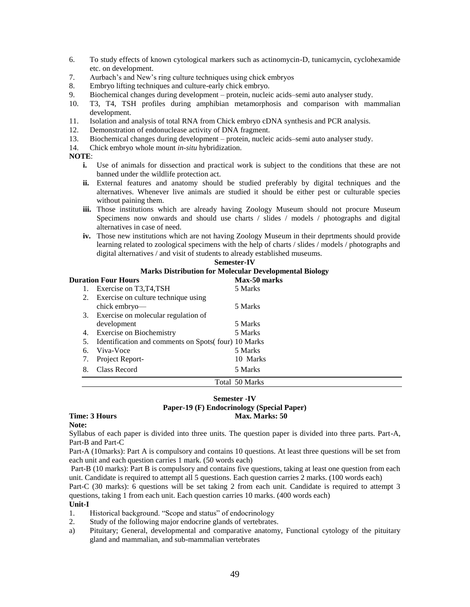- 6. To study effects of known cytological markers such as actinomycin-D, tunicamycin, cyclohexamide etc. on development.
- 7. Aurbach's and New's ring culture techniques using chick embryos
- 8. Embryo lifting techniques and culture-early chick embryo.
- 9. Biochemical changes during development protein, nucleic acids–semi auto analyser study.
- 10. T3, T4, TSH profiles during amphibian metamorphosis and comparison with mammalian development.
- 11. Isolation and analysis of total RNA from Chick embryo cDNA synthesis and PCR analysis.
- 12. Demonstration of endonuclease activity of DNA fragment.
- 13. Biochemical changes during development protein, nucleic acids–semi auto analyser study.
- 14. Chick embryo whole mount *in-situ* hybridization.

#### **NOTE**:

- **i.** Use of animals for dissection and practical work is subject to the conditions that these are not banned under the wildlife protection act.
- **ii.** External features and anatomy should be studied preferably by digital techniques and the alternatives. Whenever live animals are studied it should be either pest or culturable species without paining them.
- **iii.** Those institutions which are already having Zoology Museum should not procure Museum Specimens now onwards and should use charts / slides / models / photographs and digital alternatives in case of need.
- **iv.** Those new institutions which are not having Zoology Museum in their deprtments should provide learning related to zoological specimens with the help of charts / slides / models / photographs and digital alternatives / and visit of students to already established museums.

**Semester-IV**

|    | DUMUJU -1 V                                                   |                |  |  |
|----|---------------------------------------------------------------|----------------|--|--|
|    | <b>Marks Distribution for Molecular Developmental Biology</b> |                |  |  |
|    | <b>Duration Four Hours</b>                                    | Max-50 marks   |  |  |
|    | Exercise on T3,T4,TSH                                         | 5 Marks        |  |  |
| 2. | Exercise on culture technique using                           |                |  |  |
|    | chick embryo—                                                 | 5 Marks        |  |  |
|    | 3. Exercise on molecular regulation of                        |                |  |  |
|    | development                                                   | 5 Marks        |  |  |
| 4. | Exercise on Biochemistry                                      | 5 Marks        |  |  |
| 5. | Identification and comments on Spots (four) 10 Marks          |                |  |  |
| 6. | Viva-Voce                                                     | 5 Marks        |  |  |
|    | Project Report-                                               | 10 Marks       |  |  |
| 8. | Class Record                                                  | 5 Marks        |  |  |
|    |                                                               | Total 50 Marks |  |  |

#### **Semester -IV Paper-19 (F) Endocrinology (Special Paper) Time: 3 Hours Max. Marks: 50 Max. Marks: 50 Max. Marks: 50 Max. Marks: 50 Max. Marks: 50 Max. Marks: 50 Max. Marks: 50 Max. Marks: 50 Max. Marks: 50 Max. Marks: 50**  $\mu$

# **Note:**

Syllabus of each paper is divided into three units. The question paper is divided into three parts. Part-A, Part-B and Part-C

Part-A (10marks): Part A is compulsory and contains 10 questions. At least three questions will be set from each unit and each question carries 1 mark. (50 words each)

Part-B (10 marks): Part B is compulsory and contains five questions, taking at least one question from each unit. Candidate is required to attempt all 5 questions. Each question carries 2 marks. (100 words each)

Part-C (30 marks): 6 questions will be set taking 2 from each unit. Candidate is required to attempt 3 questions, taking 1 from each unit. Each question carries 10 marks. (400 words each)

#### **Unit-I**

- 1. Historical background. "Scope and status" of endocrinology
- 2. Study of the following major endocrine glands of vertebrates.
- a) Pituitary; General, developmental and comparative anatomy, Functional cytology of the pituitary gland and mammalian, and sub-mammalian vertebrates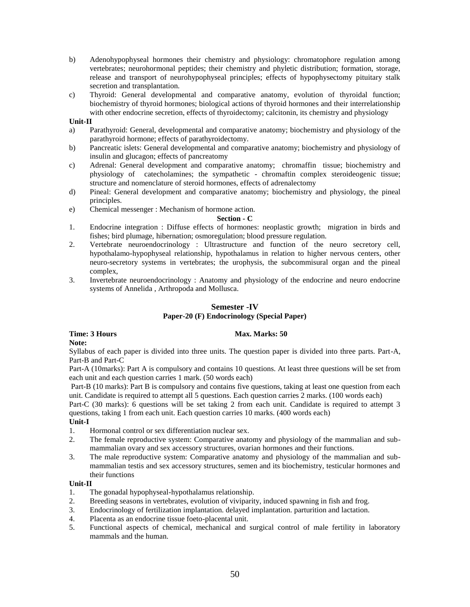- b) Adenohypophyseal hormones their chemistry and physiology: chromatophore regulation among vertebrates; neurohormonal peptides; their chemistry and phyletic distribution; formation, storage, release and transport of neurohypophyseal principles; effects of hypophysectomy pituitary stalk secretion and transplantation.
- c) Thyroid: General developmental and comparative anatomy, evolution of thyroidal function; biochemistry of thyroid hormones; biological actions of thyroid hormones and their interrelationship with other endocrine secretion, effects of thyroidectomy; calcitonin, its chemistry and physiology

#### **Unit-II**

- a) Parathyroid: General, developmental and comparative anatomy; biochemistry and physiology of the parathyroid hormone; effects of parathyroidectomy.
- b) Pancreatic islets: General developmental and comparative anatomy; biochemistry and physiology of insulin and glucagon; effects of pancreatomy
- c) Adrenal: General development and comparative anatomy; chromaffin tissue; biochemistry and physiology of catecholamines; the sympathetic - chromaftin complex steroideogenic tissue; structure and nomenclature of steroid hormones, effects of adrenalectomy
- d) Pineal: General development and comparative anatomy; biochemistry and physiology, the pineal principles.
- e) Chemical messenger : Mechanism of hormone action.

#### **Section - C**

- 1. Endocrine integration : Diffuse effects of hormones: neoplastic growth; migration in birds and fishes; bird plumage, hibernation; osmoregulation; blood pressure regulation.
- 2. Vertebrate neuroendocrinology : Ultrastructure and function of the neuro secretory cell, hypothalamo-hypophyseal relationship, hypothalamus in relation to higher nervous centers, other neuro-secretory systems in vertebrates; the urophysis, the subcommisural organ and the pineal complex,
- 3. Invertebrate neuroendocrinology : Anatomy and physiology of the endocrine and neuro endocrine systems of Annelida , Arthropoda and Mollusca.

## **Semester -IV**

# **Paper-20 (F) Endocrinology (Special Paper)**

#### **Time: 3 Hours Max. Marks: 50**

**Note:**

Syllabus of each paper is divided into three units. The question paper is divided into three parts. Part-A, Part-B and Part-C

Part-A (10marks): Part A is compulsory and contains 10 questions. At least three questions will be set from each unit and each question carries 1 mark. (50 words each)

Part-B (10 marks): Part B is compulsory and contains five questions, taking at least one question from each unit. Candidate is required to attempt all 5 questions. Each question carries 2 marks. (100 words each)

Part-C (30 marks): 6 questions will be set taking 2 from each unit. Candidate is required to attempt 3 questions, taking 1 from each unit. Each question carries 10 marks. (400 words each)

# **Unit-I**

- 1. Hormonal control or sex differentiation nuclear sex.
- 2. The female reproductive system: Comparative anatomy and physiology of the mammalian and submammalian ovary and sex accessory structures, ovarian hormones and their functions.
- 3. The male reproductive system: Comparative anatomy and physiology of the mammalian and submammalian testis and sex accessory structures, semen and its biochemistry, testicular hormones and their functions

#### **Unit-II**

- 1. The gonadal hypophyseal-hypothalamus relationship.
- 2. Breeding seasons in vertebrates, evolution of viviparity, induced spawning in fish and frog.
- 3. Endocrinology of fertilization implantation. delayed implantation. parturition and lactation.
- 4. Placenta as an endocrine tissue foeto-placental unit.
- 5. Functional aspects of chemical, mechanical and surgical control of male fertility in laboratory mammals and the human.